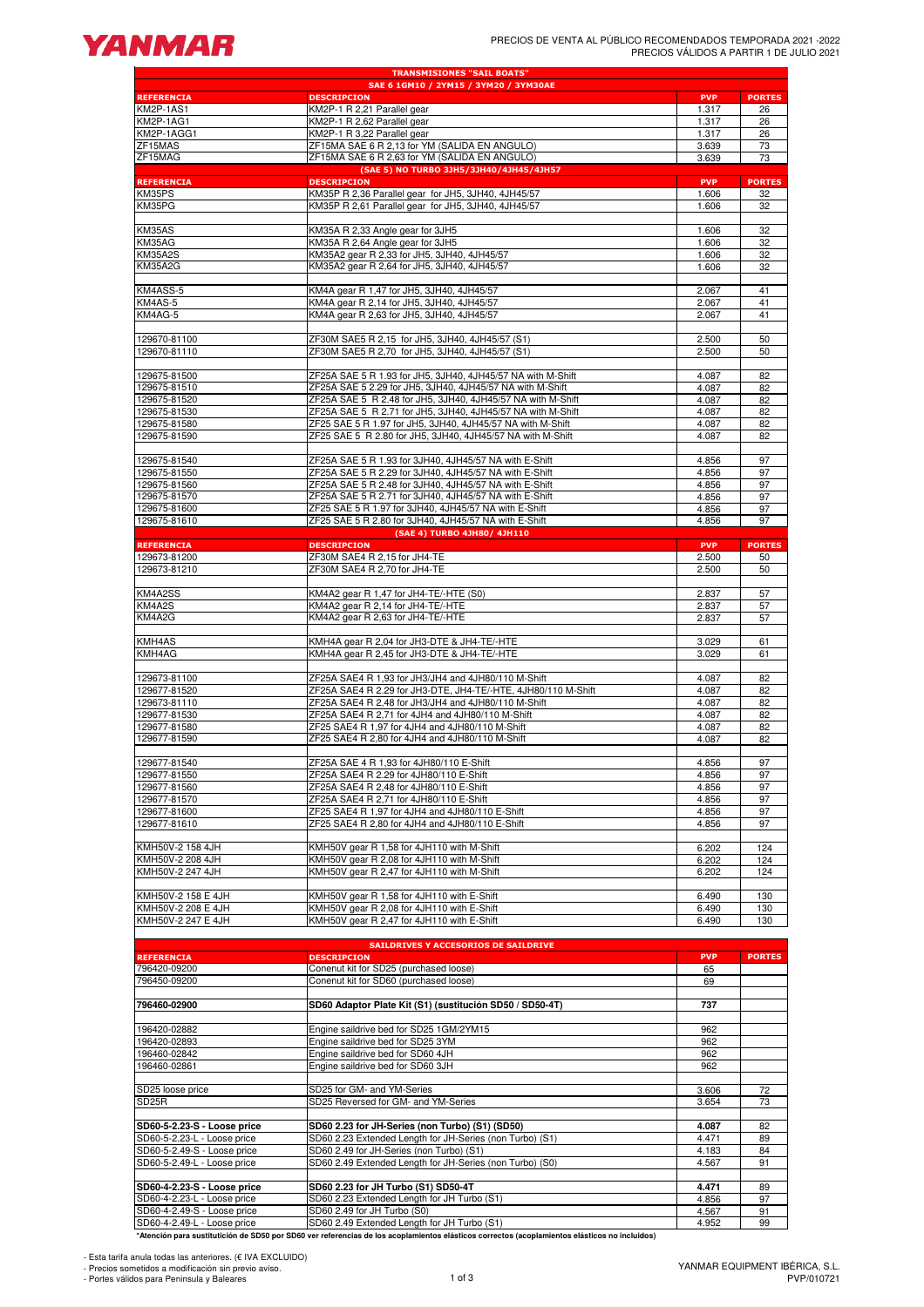

| <b>TRANSMISIONES "SAIL BOATS"</b><br>SAE 6 1GM10 / 2YM15 / 3YM20 / 3YM30AE |                                                                                                                                               |                |               |  |  |  |  |  |  |  |
|----------------------------------------------------------------------------|-----------------------------------------------------------------------------------------------------------------------------------------------|----------------|---------------|--|--|--|--|--|--|--|
| <b>REFERENCIA</b>                                                          | <b>DESCRIPCION</b>                                                                                                                            | <b>PVP</b>     | <b>PORTES</b> |  |  |  |  |  |  |  |
| KM2P-1AS1                                                                  | KM2P-1 R 2,21 Parallel gear                                                                                                                   | 1.317          | 26            |  |  |  |  |  |  |  |
| <b>KM2P-1AG1</b>                                                           | KM2P-1 R 2,62 Parallel gear                                                                                                                   | 1.317          | 26            |  |  |  |  |  |  |  |
| KM2P-1AGG1                                                                 | KM2P-1 R 3,22 Parallel gear                                                                                                                   | 1.317          | 26            |  |  |  |  |  |  |  |
| ZF15MAS                                                                    | ZF15MA SAE 6 R 2,13 for YM (SALIDA EN ANGULO)                                                                                                 | 3.639          | 73            |  |  |  |  |  |  |  |
| ZF15MAG                                                                    | ZF15MA SAE 6 R 2,63 for YM (SALIDA EN ANGULO)<br>(SAE 5) NO TURBO 3JH5/3JH40/4JH45/4JH57                                                      | 3.639          | 73            |  |  |  |  |  |  |  |
| <b>REFERENCIA</b>                                                          | <b>DESCRIPCION</b>                                                                                                                            | <b>PVP</b>     | <b>PORTES</b> |  |  |  |  |  |  |  |
| KM35PS                                                                     | KM35P R 2,36 Parallel gear for JH5, 3JH40, 4JH45/57                                                                                           | 1.606          | 32            |  |  |  |  |  |  |  |
| KM35PG                                                                     | KM35P R 2,61 Parallel gear for JH5, 3JH40, 4JH45/57                                                                                           | 1.606          | 32            |  |  |  |  |  |  |  |
|                                                                            |                                                                                                                                               |                |               |  |  |  |  |  |  |  |
| KM35AS                                                                     | KM35A R 2,33 Angle gear for 3JH5                                                                                                              | 1.606          | 32            |  |  |  |  |  |  |  |
| KM35AG                                                                     | KM35A R 2,64 Angle gear for 3JH5                                                                                                              | 1.606          | 32            |  |  |  |  |  |  |  |
| <b>KM35A2S</b><br><b>KM35A2G</b>                                           | KM35A2 gear R 2,33 for JH5, 3JH40, 4JH45/57<br>KM35A2 gear R 2,64 for JH5, 3JH40, 4JH45/57                                                    | 1.606<br>1.606 | 32<br>32      |  |  |  |  |  |  |  |
|                                                                            |                                                                                                                                               |                |               |  |  |  |  |  |  |  |
| KM4ASS-5                                                                   | KM4A gear R 1,47 for JH5, 3JH40, 4JH45/57                                                                                                     | 2.067          | 41            |  |  |  |  |  |  |  |
| KM4AS-5                                                                    | KM4A gear R 2,14 for JH5, 3JH40, 4JH45/57                                                                                                     | 2.067          | 41            |  |  |  |  |  |  |  |
| KM4AG-5                                                                    | KM4A gear R 2,63 for JH5, 3JH40, 4JH45/57                                                                                                     | 2.067          | 41            |  |  |  |  |  |  |  |
|                                                                            |                                                                                                                                               |                |               |  |  |  |  |  |  |  |
| 129670-81100                                                               | ZF30M SAE5 R 2,15 for JH5, 3JH40, 4JH45/57 (S1)                                                                                               | 2.500          | 50            |  |  |  |  |  |  |  |
| 129670-81110                                                               | ZF30M SAE5 R 2,70 for JH5, 3JH40, 4JH45/57 (S1)                                                                                               | 2.500          | 50            |  |  |  |  |  |  |  |
| 129675-81500                                                               | ZF25A SAE 5 R 1.93 for JH5, 3JH40, 4JH45/57 NA with M-Shift                                                                                   | 4.087          | 82            |  |  |  |  |  |  |  |
| 129675-81510                                                               | ZF25A SAE 5 2.29 for JH5, 3JH40, 4JH45/57 NA with M-Shift                                                                                     | 4.087          | 82            |  |  |  |  |  |  |  |
| 129675-81520                                                               | ZF25A SAE 5 R 2.48 for JH5, 3JH40, 4JH45/57 NA with M-Shift                                                                                   | 4.087          | 82            |  |  |  |  |  |  |  |
| 129675-81530                                                               | ZF25A SAE 5 R 2.71 for JH5, 3JH40, 4JH45/57 NA with M-Shift                                                                                   | 4.087          | 82            |  |  |  |  |  |  |  |
| 129675-81580                                                               | ZF25 SAE 5 R 1.97 for JH5, 3JH40, 4JH45/57 NA with M-Shift                                                                                    | 4.087          | 82            |  |  |  |  |  |  |  |
| 129675-81590                                                               | ZF25 SAE 5 R 2.80 for JH5, 3JH40, 4JH45/57 NA with M-Shift                                                                                    | 4.087          | 82            |  |  |  |  |  |  |  |
|                                                                            |                                                                                                                                               |                |               |  |  |  |  |  |  |  |
| 129675-81540                                                               | ZF25A SAE 5 R 1.93 for 3JH40, 4JH45/57 NA with E-Shift                                                                                        | 4.856          | 97            |  |  |  |  |  |  |  |
| 129675-81550                                                               | ZF25A SAE 5 R 2.29 for 3JH40, 4JH45/57 NA with E-Shift                                                                                        | 4.856          | 97            |  |  |  |  |  |  |  |
| 129675-81560<br>129675-81570                                               | ZF25A SAE 5 R 2.48 for 3JH40, 4JH45/57 NA with E-Shift                                                                                        | 4.856          | 97            |  |  |  |  |  |  |  |
| 129675-81600                                                               | ZF25A SAE 5 R 2.71 for 3JH40, 4JH45/57 NA with E-Shift<br>ZF25 SAE 5 R 1.97 for 3JH40, 4JH45/57 NA with E-Shift                               | 4.856<br>4.856 | 97<br>97      |  |  |  |  |  |  |  |
| 129675-81610                                                               | ZF25 SAE 5 R 2.80 for 3JH40, 4JH45/57 NA with E-Shift                                                                                         | 4.856          | 97            |  |  |  |  |  |  |  |
|                                                                            | (SAE 4) TURBO 4JH80/ 4JH110                                                                                                                   |                |               |  |  |  |  |  |  |  |
| <b>REFERENCIA</b>                                                          | <b>DESCRIPCION</b>                                                                                                                            | <b>PVP</b>     | <b>PORTES</b> |  |  |  |  |  |  |  |
| 129673-81200                                                               | ZF30M SAE4 R 2,15 for JH4-TE                                                                                                                  | 2.500          | 50            |  |  |  |  |  |  |  |
| 129673-81210                                                               | ZF30M SAE4 R 2,70 for JH4-TE                                                                                                                  | 2.500          | 50            |  |  |  |  |  |  |  |
|                                                                            |                                                                                                                                               |                |               |  |  |  |  |  |  |  |
| KM4A2SS                                                                    | KM4A2 gear R 1,47 for JH4-TE/-HTE (S0)                                                                                                        | 2.837          | 57            |  |  |  |  |  |  |  |
| KM4A2S                                                                     | KM4A2 gear R 2,14 for JH4-TE/-HTE                                                                                                             | 2.837          | 57            |  |  |  |  |  |  |  |
| KM4A2G                                                                     | KM4A2 gear R 2,63 for JH4-TE/-HTE                                                                                                             | 2.837          | 57            |  |  |  |  |  |  |  |
| KMH4AS                                                                     | KMH4A gear R 2,04 for JH3-DTE & JH4-TE/-HTE                                                                                                   | 3.029          | 61            |  |  |  |  |  |  |  |
| KMH4AG                                                                     | KMH4A gear R 2,45 for JH3-DTE & JH4-TE/-HTE                                                                                                   | 3.029          | 61            |  |  |  |  |  |  |  |
|                                                                            |                                                                                                                                               |                |               |  |  |  |  |  |  |  |
| 129673-81100                                                               | ZF25A SAE4 R 1,93 for JH3/JH4 and 4JH80/110 M-Shift                                                                                           | 4.087          | 82            |  |  |  |  |  |  |  |
| 129677-81520                                                               | ZF25A SAE4 R 2.29 for JH3-DTE, JH4-TE/-HTE, 4JH80/110 M-Shift                                                                                 | 4.087          | 82            |  |  |  |  |  |  |  |
| 129673-81110                                                               | ZF25A SAE4 R 2,48 for JH3/JH4 and 4JH80/110 M-Shift                                                                                           | 4.087          | 82            |  |  |  |  |  |  |  |
| 129677-81530                                                               | ZF25A SAE4 R 2,71 for 4JH4 and 4JH80/110 M-Shift                                                                                              | 4.087          | 82            |  |  |  |  |  |  |  |
| 129677-81580                                                               | ZF25 SAE4 R 1,97 for 4JH4 and 4JH80/110 M-Shift                                                                                               | 4.087          | 82            |  |  |  |  |  |  |  |
| 129677-81590                                                               | ZF25 SAE4 R 2,80 for 4JH4 and 4JH80/110 M-Shift                                                                                               | 4.087          | 82            |  |  |  |  |  |  |  |
| 129677-81540                                                               | ZF25A SAE 4 R 1,93 for 4JH80/110 E-Shift                                                                                                      | 4.856          | 97            |  |  |  |  |  |  |  |
| 129677-81550                                                               | ZF25A SAE4 R 2.29 for 4JH80/110 E-Shift                                                                                                       | 4.856          | 97            |  |  |  |  |  |  |  |
| 129677-81560                                                               | ZF25A SAE4 R 2,48 for 4JH80/110 E-Shift                                                                                                       | 4.856          | 97            |  |  |  |  |  |  |  |
| 129677-81570                                                               | ZF25A SAE4 R 2,71 for 4JH80/110 E-Shift                                                                                                       | 4.856          | 97            |  |  |  |  |  |  |  |
| 129677-81600                                                               | ZF25 SAE4 R 1,97 for 4JH4 and 4JH80/110 E-Shift                                                                                               | 4.856          | 97            |  |  |  |  |  |  |  |
| 129677-81610                                                               | ZF25 SAE4 R 2,80 for 4JH4 and 4JH80/110 E-Shift                                                                                               | 4.856          | 97            |  |  |  |  |  |  |  |
|                                                                            |                                                                                                                                               |                |               |  |  |  |  |  |  |  |
| KMH50V-2 158 4JH                                                           | KMH50V gear R 1,58 for 4JH110 with M-Shift                                                                                                    | 6.202          | 124           |  |  |  |  |  |  |  |
| KMH50V-2 208 4JH                                                           | KMH50V gear R 2,08 for 4JH110 with M-Shift<br>KMH50V gear R 2,47 for 4JH110 with M-Shift                                                      | 6.202          | 124           |  |  |  |  |  |  |  |
| KMH50V-2 247 4JH                                                           |                                                                                                                                               | 6.202          | 124           |  |  |  |  |  |  |  |
| KMH50V-2 158 E 4JH                                                         | KMH50V gear R 1,58 for 4JH110 with E-Shift                                                                                                    | 6.490          | 130           |  |  |  |  |  |  |  |
| KMH50V-2 208 E 4JH                                                         | KMH50V gear R 2,08 for 4JH110 with E-Shift                                                                                                    | 6.490          | 130           |  |  |  |  |  |  |  |
| KMH50V-2 247 E 4JH                                                         | KMH50V gear R 2,47 for 4JH110 with E-Shift                                                                                                    | 6.490          | 130           |  |  |  |  |  |  |  |
|                                                                            |                                                                                                                                               |                |               |  |  |  |  |  |  |  |
|                                                                            | SAILDRIVES Y ACCESORIOS DE SAILDRIVE                                                                                                          |                |               |  |  |  |  |  |  |  |
| <b>REFERENCIA</b>                                                          | <b>DESCRIPCION</b>                                                                                                                            | <b>PVP</b>     | <b>PORTES</b> |  |  |  |  |  |  |  |
| 796420-09200                                                               | Conenut kit for SD25 (purchased loose)<br>Conenut kit for SD60 (purchased loose)                                                              | 65<br>69       |               |  |  |  |  |  |  |  |
| 796450-09200                                                               |                                                                                                                                               |                |               |  |  |  |  |  |  |  |
| 796460-02900                                                               | SD60 Adaptor Plate Kit (S1) (sustitución SD50 / SD50-4T)                                                                                      | 737            |               |  |  |  |  |  |  |  |
|                                                                            |                                                                                                                                               |                |               |  |  |  |  |  |  |  |
| 196420-02882                                                               | Engine saildrive bed for SD25 1GM/2YM15                                                                                                       | 962            |               |  |  |  |  |  |  |  |
| 196420-02893                                                               | Engine saildrive bed for SD25 3YM                                                                                                             | 962            |               |  |  |  |  |  |  |  |
| 196460-02842                                                               | Engine saildrive bed for SD60 4JH                                                                                                             | 962            |               |  |  |  |  |  |  |  |
| 196460-02861                                                               | Engine saildrive bed for SD60 3JH                                                                                                             | 962            |               |  |  |  |  |  |  |  |
| SD25 loose price                                                           | SD25 for GM- and YM-Series                                                                                                                    | 3.606          | 72            |  |  |  |  |  |  |  |
| SD <sub>25</sub> R                                                         | SD25 Reversed for GM- and YM-Series                                                                                                           | 3.654          | 73            |  |  |  |  |  |  |  |
|                                                                            |                                                                                                                                               |                |               |  |  |  |  |  |  |  |
| SD60-5-2.23-S - Loose price                                                | SD60 2.23 for JH-Series (non Turbo) (S1) (SD50)                                                                                               | 4.087          | 82            |  |  |  |  |  |  |  |
| SD60-5-2.23-L - Loose price                                                | SD60 2.23 Extended Length for JH-Series (non Turbo) (S1)                                                                                      | 4.471          | 89            |  |  |  |  |  |  |  |
| SD60-5-2.49-S - Loose price                                                | SD60 2.49 for JH-Series (non Turbo) (S1)                                                                                                      | 4.183          | 84            |  |  |  |  |  |  |  |
| SD60-5-2.49-L - Loose price                                                | SD60 2.49 Extended Length for JH-Series (non Turbo) (S0)                                                                                      | 4.567          | 91            |  |  |  |  |  |  |  |
|                                                                            |                                                                                                                                               |                |               |  |  |  |  |  |  |  |
| SD60-4-2.23-S - Loose price                                                | SD60 2.23 for JH Turbo (S1) SD50-4T                                                                                                           | 4.471          | 89            |  |  |  |  |  |  |  |
| SD60-4-2.23-L - Loose price                                                | SD60 2.23 Extended Length for JH Turbo (S1)<br>SD60 2.49 for JH Turbo (S0)                                                                    | 4.856<br>4.567 | 97            |  |  |  |  |  |  |  |
| SD60-4-2.49-S - Loose price<br>SD60-4-2.49-L - Loose price                 | SD60 2.49 Extended Length for JH Turbo (S1)                                                                                                   | 4.952          | 91<br>99      |  |  |  |  |  |  |  |
|                                                                            | *Atención para sustitutición de SD50 por SD60 ver referencias de los acoplamientos elásticos correctos (acoplamientos elásticos no incluidos) |                |               |  |  |  |  |  |  |  |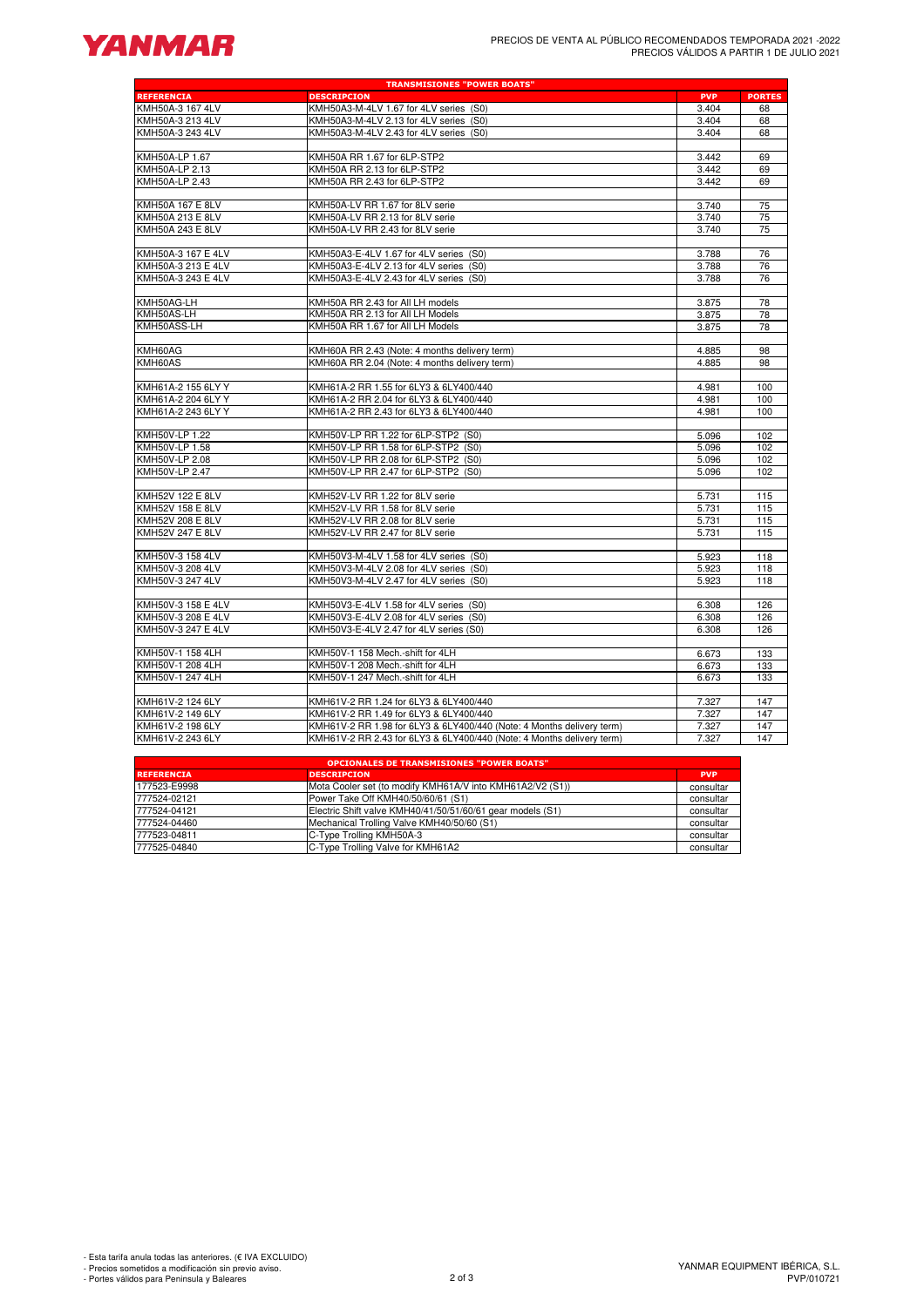# **YANMAR**

|                                          | <b>TRANSMISIONES "POWER BOATS"</b>                                               |                |               |
|------------------------------------------|----------------------------------------------------------------------------------|----------------|---------------|
| <b>REFERENCIA</b>                        | <b>DESCRIPCION</b>                                                               | <b>PVP</b>     | <b>PORTES</b> |
| KMH50A-3 167 4LV                         | KMH50A3-M-4LV 1.67 for 4LV series (S0)                                           | 3.404          | 68            |
| KMH50A-3 213 4LV                         | KMH50A3-M-4LV 2.13 for 4LV series (S0)                                           | 3.404          | 68            |
| KMH50A-3 243 4LV                         | KMH50A3-M-4LV 2.43 for 4LV series (S0)                                           | 3.404          | 68            |
|                                          |                                                                                  |                |               |
| KMH50A-LP 1.67                           | KMH50A RR 1.67 for 6LP-STP2                                                      | 3.442          | 69            |
| KMH50A-LP 2.13                           | KMH50A RR 2.13 for 6LP-STP2                                                      | 3.442          | 69            |
| KMH50A-LP 2.43                           | KMH50A RR 2.43 for 6LP-STP2                                                      | 3.442          | 69            |
| KMH50A 167 E 8LV                         | KMH50A-LV RR 1.67 for 8LV serie                                                  | 3.740          | 75            |
| KMH50A 213 E 8LV                         | KMH50A-LV RR 2.13 for 8LV serie                                                  | 3.740          | 75            |
| KMH50A 243 E 8LV                         | KMH50A-LV RR 2.43 for 8LV serie                                                  | 3.740          | 75            |
|                                          |                                                                                  |                |               |
| KMH50A-3 167 E 4LV                       | KMH50A3-E-4LV 1.67 for 4LV series (S0)                                           | 3.788          | 76            |
| KMH50A-3 213 E 4LV                       | KMH50A3-E-4LV 2.13 for 4LV series (S0)                                           | 3.788          | 76            |
| KMH50A-3 243 E 4LV                       | KMH50A3-E-4LV 2.43 for 4LV series (S0)                                           | 3.788          | 76            |
|                                          |                                                                                  |                |               |
| KMH50AG-LH                               | KMH50A RR 2.43 for All LH models                                                 | 3.875          | 78            |
| KMH50AS-LH                               | KMH50A RR 2.13 for All LH Models                                                 | 3.875          | 78            |
| KMH50ASS-LH                              | KMH50A RR 1.67 for All LH Models                                                 | 3.875          | 78            |
| KMH60AG                                  | KMH60A RR 2.43 (Note: 4 months delivery term)                                    | 4.885          | 98            |
| KMH60AS                                  | KMH60A RR 2.04 (Note: 4 months delivery term)                                    | 4.885          | 98            |
|                                          |                                                                                  |                |               |
| KMH61A-2 155 6LY Y                       | KMH61A-2 RR 1.55 for 6LY3 & 6LY400/440                                           | 4.981          | 100           |
| KMH61A-2 204 6LY Y                       | KMH61A-2 RR 2.04 for 6LY3 & 6LY400/440                                           | 4.981          | 100           |
| KMH61A-2 243 6LY Y                       | KMH61A-2 RR 2.43 for 6LY3 & 6LY400/440                                           | 4.981          | 100           |
|                                          |                                                                                  |                |               |
| KMH50V-LP 1.22                           | KMH50V-LP RR 1.22 for 6LP-STP2 (S0)                                              | 5.096          | 102           |
| KMH50V-LP 1.58                           | KMH50V-LP RR 1.58 for 6LP-STP2 (S0)                                              | 5.096          | 102           |
| KMH50V-LP 2.08                           | KMH50V-LP RR 2.08 for 6LP-STP2 (S0)                                              | 5.096          | 102           |
| KMH50V-LP 2.47                           | KMH50V-LP RR 2.47 for 6LP-STP2 (S0)                                              | 5.096          | 102           |
| KMH52V 122 E 8LV                         | KMH52V-LV RR 1.22 for 8LV serie                                                  | 5.731          | 115           |
| KMH52V 158 E 8LV                         | KMH52V-LV RR 1.58 for 8LV serie                                                  | 5.731          | 115           |
| KMH52V 208 E 8LV                         | KMH52V-LV RR 2.08 for 8LV serie                                                  | 5.731          | 115           |
| KMH52V 247 E 8LV                         | KMH52V-LV RR 2.47 for 8LV serie                                                  | 5.731          | 115           |
|                                          |                                                                                  |                |               |
| KMH50V-3 158 4LV                         | KMH50V3-M-4LV 1.58 for 4LV series (S0)                                           | 5.923          | 118           |
| KMH50V-3 208 4LV                         | KMH50V3-M-4LV 2.08 for 4LV series (S0)                                           | 5.923          | 118           |
| KMH50V-3 247 4LV                         | KMH50V3-M-4LV 2.47 for 4LV series (S0)                                           | 5.923          | 118           |
|                                          |                                                                                  |                | 126           |
| KMH50V-3 158 E 4LV<br>KMH50V-3 208 E 4LV | KMH50V3-E-4LV 1.58 for 4LV series (S0)<br>KMH50V3-E-4LV 2.08 for 4LV series (S0) | 6.308<br>6.308 | 126           |
| KMH50V-3 247 E 4LV                       | KMH50V3-E-4LV 2.47 for 4LV series (S0)                                           | 6.308          | 126           |
|                                          |                                                                                  |                |               |
| KMH50V-1 158 4LH                         | KMH50V-1 158 Mech.-shift for 4LH                                                 | 6.673          | 133           |
| KMH50V-1 208 4LH                         | KMH50V-1 208 Mech.-shift for 4LH                                                 | 6.673          | 133           |
| KMH50V-1 247 4LH                         | KMH50V-1 247 Mech.-shift for 4LH                                                 | 6.673          | 133           |
|                                          |                                                                                  |                |               |
| KMH61V-2 124 6LY                         | KMH61V-2 RR 1.24 for 6LY3 & 6LY400/440                                           | 7.327          | 147           |
| KMH61V-2 149 6LY                         | KMH61V-2 RR 1.49 for 6LY3 & 6LY400/440                                           | 7.327          | 147           |
| KMH61V-2 198 6LY                         | KMH61V-2 RR 1.98 for 6LY3 & 6LY400/440 (Note: 4 Months delivery term)            | 7.327          | 147           |
| KMH61V-2 243 6LY                         | KMH61V-2 RR 2.43 for 6LY3 & 6LY400/440 (Note: 4 Months delivery term)            | 7.327          | 147           |
|                                          | <b>OPCIONALES DE TRANSMISIONES "POWER BOATS"</b>                                 |                |               |
| <b>DEEEDENCTA</b>                        | <b>DESCRIPCION</b>                                                               | <b>DVD</b>     |               |

|                   | <b>OPCIONALES DE TRANSMISIONES "POWER BOATS"</b>           |            |  |  |  |  |  |  |  |  |
|-------------------|------------------------------------------------------------|------------|--|--|--|--|--|--|--|--|
| <b>REFERENCIA</b> | <b>DESCRIPCION</b>                                         | <b>PVP</b> |  |  |  |  |  |  |  |  |
| 177523-E9998      | Mota Cooler set (to modify KMH61A/V into KMH61A2/V2 (S1))  | consultar  |  |  |  |  |  |  |  |  |
| 777524-02121      | Power Take Off KMH40/50/60/61 (S1)                         | consultar  |  |  |  |  |  |  |  |  |
| 777524-04121      | Electric Shift valve KMH40/41/50/51/60/61 gear models (S1) | consultar  |  |  |  |  |  |  |  |  |
| 777524-04460      | Mechanical Trolling Valve KMH40/50/60 (S1)                 | consultar  |  |  |  |  |  |  |  |  |
| 777523-04811      | C-Type Trolling KMH50A-3                                   | consultar  |  |  |  |  |  |  |  |  |
| 777525-04840      | C-Type Trolling Valve for KMH61A2                          | consultar  |  |  |  |  |  |  |  |  |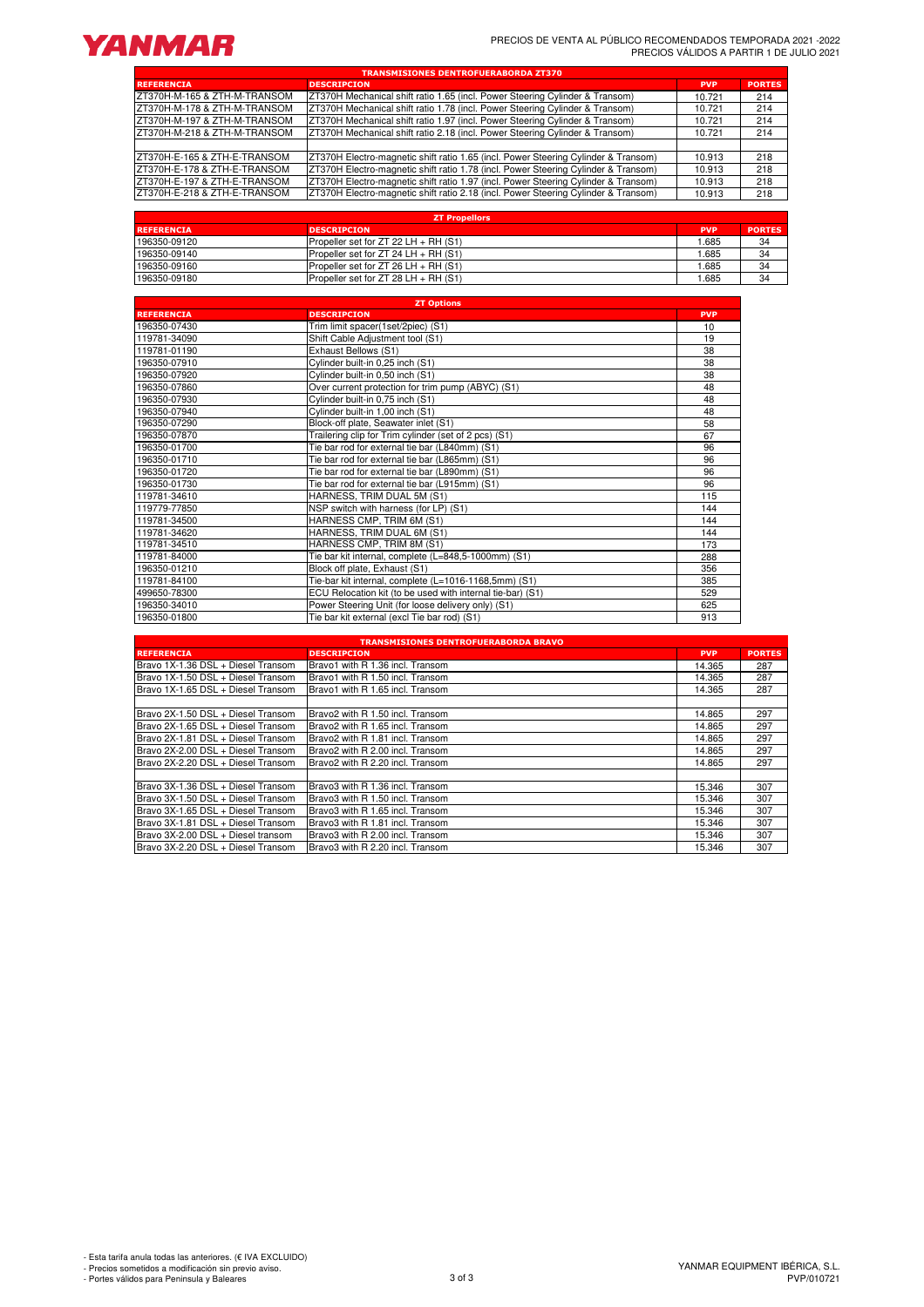

| <b>TRANSMISIONES DENTROFUERABORDA ZT370</b> |                                                                                    |            |               |  |  |  |  |  |  |  |
|---------------------------------------------|------------------------------------------------------------------------------------|------------|---------------|--|--|--|--|--|--|--|
| <b>REFERENCIA</b>                           | <b>DESCRIPCION</b>                                                                 | <b>PVP</b> | <b>PORTES</b> |  |  |  |  |  |  |  |
| ZT370H-M-165 & ZTH-M-TRANSOM                | ZT370H Mechanical shift ratio 1.65 (incl. Power Steering Cylinder & Transom)       | 10.721     | 214           |  |  |  |  |  |  |  |
| ZT370H-M-178 & ZTH-M-TRANSOM                | ZT370H Mechanical shift ratio 1.78 (incl. Power Steering Cylinder & Transom)       | 10.721     | 214           |  |  |  |  |  |  |  |
| ZT370H-M-197 & ZTH-M-TRANSOM                | IZT370H Mechanical shift ratio 1.97 (incl. Power Steering Cylinder & Transom)      | 10.721     | 214           |  |  |  |  |  |  |  |
| ZT370H-M-218 & ZTH-M-TRANSOM                | ZT370H Mechanical shift ratio 2.18 (incl. Power Steering Cylinder & Transom)       | 10.721     | 214           |  |  |  |  |  |  |  |
|                                             |                                                                                    |            |               |  |  |  |  |  |  |  |
| ZT370H-E-165 & ZTH-E-TRANSOM                | ZT370H Electro-magnetic shift ratio 1.65 (incl. Power Steering Cylinder & Transom) | 10.913     | 218           |  |  |  |  |  |  |  |
| ZT370H-E-178 & ZTH-E-TRANSOM                | ZT370H Electro-magnetic shift ratio 1.78 (incl. Power Steering Cylinder & Transom) | 10.913     | 218           |  |  |  |  |  |  |  |
| ZT370H-E-197 & ZTH-E-TRANSOM                | ZT370H Electro-magnetic shift ratio 1.97 (incl. Power Steering Cylinder & Transom) | 10.913     | 218           |  |  |  |  |  |  |  |
| ZT370H-E-218 & ZTH-E-TRANSOM                | ZT370H Electro-magnetic shift ratio 2.18 (incl. Power Steering Cylinder & Transom) | 10.913     | 218           |  |  |  |  |  |  |  |

| <b>ZT Propellors</b> |                                             |            |               |  |  |  |  |  |  |
|----------------------|---------------------------------------------|------------|---------------|--|--|--|--|--|--|
| <b>REFERENCIA</b>    | <b>DESCRIPCION</b>                          | <b>PVP</b> | <b>PORTES</b> |  |  |  |  |  |  |
| 196350-09120         | Propeller set for ZT 22 LH + RH (S1)        | .685       | 34            |  |  |  |  |  |  |
| 196350-09140         | <b>Propeller set for ZT 24 LH + RH (S1)</b> | .685       | 34            |  |  |  |  |  |  |
| 196350-09160         | Propeller set for ZT 26 LH + RH (S1)        | .685       | 34            |  |  |  |  |  |  |
| 196350-09180         | Propeller set for ZT 28 LH + RH (S1)        | .685       | 34            |  |  |  |  |  |  |

| <b>ZT Options</b> |                                                            |            |  |  |  |  |  |  |
|-------------------|------------------------------------------------------------|------------|--|--|--|--|--|--|
| <b>REFERENCIA</b> | <b>DESCRIPCION</b>                                         | <b>PVP</b> |  |  |  |  |  |  |
| 196350-07430      | Trim limit spacer(1set/2piec) (S1)                         | 10         |  |  |  |  |  |  |
| 119781-34090      | Shift Cable Adjustment tool (S1)                           | 19         |  |  |  |  |  |  |
| 119781-01190      | Exhaust Bellows (S1)                                       | 38         |  |  |  |  |  |  |
| 196350-07910      | Cylinder built-in 0,25 inch (S1)                           | 38         |  |  |  |  |  |  |
| 196350-07920      | Cylinder built-in 0,50 inch (S1)                           | 38         |  |  |  |  |  |  |
| 196350-07860      | Over current protection for trim pump (ABYC) (S1)          | 48         |  |  |  |  |  |  |
| 196350-07930      | Cylinder built-in 0,75 inch (S1)                           | 48         |  |  |  |  |  |  |
| 196350-07940      | Cylinder built-in 1,00 inch (S1)                           | 48         |  |  |  |  |  |  |
| 196350-07290      | Block-off plate, Seawater inlet (S1)                       | 58         |  |  |  |  |  |  |
| 196350-07870      | Trailering clip for Trim cylinder (set of 2 pcs) (S1)      | 67         |  |  |  |  |  |  |
| 196350-01700      | Tie bar rod for external tie bar (L840mm) (S1)             | 96         |  |  |  |  |  |  |
| 196350-01710      | Tie bar rod for external tie bar (L865mm) (S1)             | 96         |  |  |  |  |  |  |
| 196350-01720      | Tie bar rod for external tie bar (L890mm) (S1)             | 96         |  |  |  |  |  |  |
| 196350-01730      | Tie bar rod for external tie bar (L915mm) (S1)             | 96         |  |  |  |  |  |  |
| 119781-34610      | HARNESS, TRIM DUAL 5M (S1)                                 | 115        |  |  |  |  |  |  |
| 119779-77850      | NSP switch with harness (for LP) (S1)                      | 144        |  |  |  |  |  |  |
| 119781-34500      | HARNESS CMP, TRIM 6M (S1)                                  | 144        |  |  |  |  |  |  |
| 119781-34620      | HARNESS, TRIM DUAL 6M (S1)                                 | 144        |  |  |  |  |  |  |
| 119781-34510      | HARNESS CMP, TRIM 8M (S1)                                  | 173        |  |  |  |  |  |  |
| 119781-84000      | Tie bar kit internal, complete (L=848,5-1000mm) (S1)       | 288        |  |  |  |  |  |  |
| 196350-01210      | Block off plate, Exhaust (S1)                              | 356        |  |  |  |  |  |  |
| 119781-84100      | Tie-bar kit internal, complete (L=1016-1168,5mm) (S1)      | 385        |  |  |  |  |  |  |
| 499650-78300      | ECU Relocation kit (to be used with internal tie-bar) (S1) | 529        |  |  |  |  |  |  |
| 196350-34010      | Power Steering Unit (for loose delivery only) (S1)         | 625        |  |  |  |  |  |  |
| 196350-01800      | Tie bar kit external (excl Tie bar rod) (S1)               | 913        |  |  |  |  |  |  |

| <b>TRANSMISIONES DENTROFUERABORDA BRAVO</b> |                                  |            |               |  |  |  |  |  |  |  |
|---------------------------------------------|----------------------------------|------------|---------------|--|--|--|--|--|--|--|
| <b>REFERENCIA</b>                           | <b>DESCRIPCION</b>               | <b>PVP</b> | <b>PORTES</b> |  |  |  |  |  |  |  |
| Bravo 1X-1.36 DSL + Diesel Transom          | Bravo1 with R 1.36 incl. Transom | 14.365     | 287           |  |  |  |  |  |  |  |
| Bravo 1X-1.50 DSL + Diesel Transom          | Bravo1 with R 1.50 incl. Transom | 14.365     | 287           |  |  |  |  |  |  |  |
| Bravo 1X-1.65 DSL + Diesel Transom          | Bravo1 with R 1.65 incl. Transom | 14.365     | 287           |  |  |  |  |  |  |  |
|                                             |                                  |            |               |  |  |  |  |  |  |  |
| Bravo 2X-1.50 DSL + Diesel Transom          | Bravo2 with R 1.50 incl. Transom | 14.865     | 297           |  |  |  |  |  |  |  |
| Bravo 2X-1.65 DSL + Diesel Transom          | Bravo2 with R 1.65 incl. Transom | 14.865     | 297           |  |  |  |  |  |  |  |
| Bravo 2X-1.81 DSL + Diesel Transom          | Bravo2 with R 1.81 incl. Transom | 14.865     | 297           |  |  |  |  |  |  |  |
| Bravo 2X-2.00 DSL + Diesel Transom          | Bravo2 with R 2.00 incl. Transom | 14.865     | 297           |  |  |  |  |  |  |  |
| Bravo 2X-2.20 DSL + Diesel Transom          | Bravo2 with R 2.20 incl. Transom | 14.865     | 297           |  |  |  |  |  |  |  |
|                                             |                                  |            |               |  |  |  |  |  |  |  |
| Bravo 3X-1.36 DSL + Diesel Transom          | Bravo3 with R 1.36 incl. Transom | 15.346     | 307           |  |  |  |  |  |  |  |
| Bravo 3X-1.50 DSL + Diesel Transom          | Bravo3 with R 1.50 incl. Transom | 15.346     | 307           |  |  |  |  |  |  |  |
| Bravo 3X-1.65 DSL + Diesel Transom          | Bravo3 with R 1.65 incl. Transom | 15.346     | 307           |  |  |  |  |  |  |  |
| Bravo 3X-1.81 DSL + Diesel Transom          | Bravo3 with R 1.81 incl. Transom | 15.346     | 307           |  |  |  |  |  |  |  |
| Bravo 3X-2.00 DSL + Diesel transom          | Bravo3 with R 2.00 incl. Transom | 15.346     | 307           |  |  |  |  |  |  |  |
| Bravo 3X-2.20 DSL + Diesel Transom          | Bravo3 with R 2.20 incl. Transom | 15.346     | 307           |  |  |  |  |  |  |  |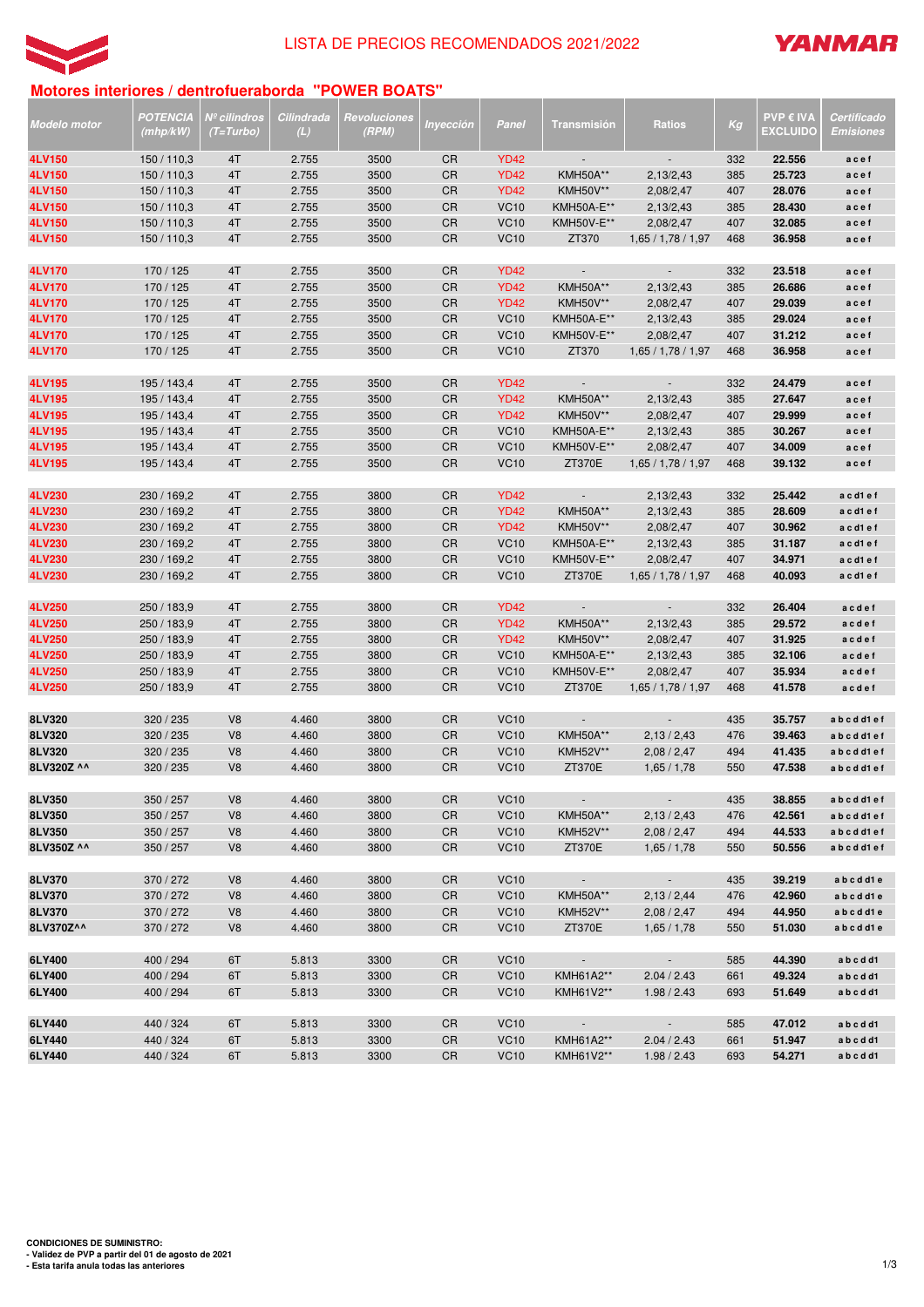



# **Motores interiores / dentrofueraborda "POWER BOATS"**

| Modelo motor     | POTENCIA<br>(mhp/kW)       | Nº cilindros<br>(T=Turbo)        | Cilindrada<br>(L) | Revoluciones<br>(RPM) | Inyección       | Panel                      | Transmisión                          | <b>Ratios</b>               | Кg         | <b>PVP € IVA</b><br><b>EXCLUIDO</b> | Certificado<br><b>Emisiones</b> |
|------------------|----------------------------|----------------------------------|-------------------|-----------------------|-----------------|----------------------------|--------------------------------------|-----------------------------|------------|-------------------------------------|---------------------------------|
| 4LV150           | 150 / 110,3                | 4T                               | 2.755             | 3500                  | <b>CR</b>       | <b>YD42</b>                | $\overline{\phantom{a}}$             | $\overline{\phantom{a}}$    | 332        | 22.556                              | acef                            |
| 4LV150           | 150 / 110,3                | 4T                               | 2.755             | 3500                  | <b>CR</b>       | <b>YD42</b>                | <b>KMH50A**</b>                      | 2,13/2,43                   | 385        | 25.723                              | acef                            |
| 4LV150           | 150 / 110,3                | 4T                               | 2.755             | 3500                  | CR              | <b>YD42</b>                | <b>KMH50V**</b>                      | 2,08/2,47                   | 407        | 28.076                              | acef                            |
| 4LV150           | 150 / 110,3                | 4T                               | 2.755             | 3500                  | CR              | <b>VC10</b>                | KMH50A-E**                           | 2,13/2,43                   | 385        | 28.430                              | acef                            |
| 4LV150           | 150 / 110,3                | 4T                               | 2.755             | 3500                  | CR              | <b>VC10</b>                | KMH50V-E**                           | 2,08/2,47                   | 407        | 32.085                              | acef                            |
| 4LV150           | 150 / 110,3                | 4T                               | 2.755             | 3500                  | CR              | <b>VC10</b>                | ZT370                                | 1,65/1,78/1,97              | 468        | 36.958                              | acef                            |
|                  |                            |                                  |                   |                       |                 |                            |                                      |                             |            |                                     |                                 |
| 4LV170           | 170 / 125                  | 4T                               | 2.755             | 3500                  | <b>CR</b>       | <b>YD42</b>                | $\sim$                               | $\mathcal{L}_{\mathcal{A}}$ | 332        | 23.518                              | acef                            |
| 4LV170           | 170 / 125                  | 4T                               | 2.755             | 3500                  | <b>CR</b>       | <b>YD42</b>                | <b>KMH50A**</b>                      | 2,13/2,43                   | 385        | 26.686                              | acef                            |
| 4LV170           | 170 / 125                  | 4T                               | 2.755             | 3500                  | CR              | <b>YD42</b>                | <b>KMH50V**</b>                      | 2,08/2,47                   | 407        | 29.039                              | acef                            |
| 4LV170           | 170 / 125                  | 4T                               | 2.755             | 3500                  | CR              | <b>VC10</b>                | KMH50A-E**                           | 2,13/2,43                   | 385        | 29.024                              | acef                            |
| 4LV170<br>4LV170 | 170 / 125<br>170 / 125     | 4T<br>4T                         | 2.755<br>2.755    | 3500<br>3500          | CR<br>CR        | <b>VC10</b><br><b>VC10</b> | KMH50V-E**<br>ZT370                  | 2,08/2,47<br>1,65/1,78/1,97 | 407<br>468 | 31.212<br>36.958                    | acef<br>acef                    |
|                  |                            |                                  |                   |                       |                 |                            |                                      |                             |            |                                     |                                 |
| 4LV195           | 195 / 143,4                | 4T                               | 2.755             | 3500                  | <b>CR</b>       | <b>YD42</b>                | $\overline{\phantom{a}}$             | $\mathcal{L}_{\mathcal{A}}$ | 332        | 24.479                              | acef                            |
| 4LV195           | 195 / 143,4                | 4T                               | 2.755             | 3500                  | CR              | <b>YD42</b>                | <b>KMH50A**</b>                      | 2,13/2,43                   | 385        | 27.647                              | acef                            |
| 4LV195           | 195 / 143,4                | 4T                               | 2.755             | 3500                  | CR              | <b>YD42</b>                | <b>KMH50V**</b>                      | 2,08/2,47                   | 407        | 29.999                              | acef                            |
| 4LV195           | 195 / 143,4                | 4T                               | 2.755             | 3500                  | CR              | <b>VC10</b>                | KMH50A-E**                           | 2,13/2,43                   | 385        | 30.267                              | acef                            |
| 4LV195           | 195 / 143,4                | 4T                               | 2.755             | 3500                  | <b>CR</b>       | <b>VC10</b>                | <b>KMH50V-E**</b>                    | 2,08/2,47                   | 407        | 34.009                              | acef                            |
| 4LV195           | 195 / 143,4                | 4T                               | 2.755             | 3500                  | CR              | <b>VC10</b>                | ZT370E                               | 1,65/1,78/1,97              | 468        | 39.132                              | acef                            |
|                  |                            |                                  |                   |                       |                 |                            |                                      |                             |            |                                     |                                 |
| 4LV230           | 230 / 169,2                | 4T                               | 2.755             | 3800                  | CR              | <b>YD42</b>                | $\sim$                               | 2,13/2,43                   | 332        | 25.442                              | a c d1 e f                      |
| 4LV230           | 230 / 169,2                | 4T                               | 2.755             | 3800                  | <b>CR</b>       | <b>YD42</b>                | <b>KMH50A**</b>                      | 2,13/2,43                   | 385        | 28.609                              | acd1ef                          |
| 4LV230           | 230 / 169,2                | 4T                               | 2.755             | 3800                  | CR              | <b>YD42</b>                | <b>KMH50V**</b>                      | 2,08/2,47                   | 407        | 30.962                              | acd1ef                          |
| 4LV230<br>4LV230 | 230 / 169,2<br>230 / 169,2 | 4T                               | 2.755<br>2.755    | 3800<br>3800          | CR<br><b>CR</b> | <b>VC10</b><br><b>VC10</b> | KMH50A-E**<br>KMH50V-E**             | 2,13/2,43<br>2,08/2,47      | 385<br>407 | 31.187<br>34.971                    | acd1ef<br>acd1ef                |
| 4LV230           | 230 / 169,2                | 4T<br>4T                         | 2.755             | 3800                  | CR              | <b>VC10</b>                | ZT370E                               | 1,65/1,78/1,97              | 468        | 40.093                              | acd1ef                          |
|                  |                            |                                  |                   |                       |                 |                            |                                      |                             |            |                                     |                                 |
| 4LV250           | 250 / 183,9                | 4T                               | 2.755             | 3800                  | CR              | <b>YD42</b>                |                                      | ÷,                          | 332        | 26.404                              | acdef                           |
| 4LV250           | 250 / 183,9                | 4T                               | 2.755             | 3800                  | <b>CR</b>       | <b>YD42</b>                | <b>KMH50A**</b>                      | 2,13/2,43                   | 385        | 29.572                              | acdef                           |
| 4LV250           | 250 / 183,9                | 4T                               | 2.755             | 3800                  | CR              | <b>YD42</b>                | <b>KMH50V**</b>                      | 2,08/2,47                   | 407        | 31.925                              | acdef                           |
| 4LV250           | 250 / 183,9                | 4T                               | 2.755             | 3800                  | CR              | <b>VC10</b>                | KMH50A-E**                           | 2,13/2,43                   | 385        | 32.106                              | acdef                           |
| 4LV250           | 250 / 183,9                | 4T                               | 2.755             | 3800                  | CR              | <b>VC10</b>                | KMH50V-E**                           | 2,08/2,47                   | 407        | 35.934                              | acdef                           |
| 4LV250           | 250 / 183,9                | 4T                               | 2.755             | 3800                  | CR              | <b>VC10</b>                | <b>ZT370E</b>                        | 1,65/1,78/1,97              | 468        | 41.578                              | acdef                           |
|                  |                            |                                  |                   |                       |                 |                            |                                      |                             |            |                                     |                                 |
| 8LV320           | 320 / 235                  | V <sub>8</sub>                   | 4.460             | 3800                  | CR              | <b>VC10</b>                |                                      | ÷,                          | 435        | 35.757                              | abcdd1ef                        |
| 8LV320<br>8LV320 | 320 / 235                  | V <sub>8</sub>                   | 4.460             | 3800                  | CR              | <b>VC10</b>                | <b>KMH50A**</b>                      | 2,13/2,43                   | 476        | 39.463                              | abcdd1ef                        |
| 8LV320Z ^^       | 320 / 235<br>320 / 235     | V <sub>8</sub><br>V <sub>8</sub> | 4.460<br>4.460    | 3800<br>3800          | CR<br>CR        | <b>VC10</b><br><b>VC10</b> | KMH52V**<br><b>ZT370E</b>            | 2,08/2,47<br>1,65/1,78      | 494<br>550 | 41.435<br>47.538                    | abcdd1ef<br>abcdd1ef            |
|                  |                            |                                  |                   |                       |                 |                            |                                      |                             |            |                                     |                                 |
| 8LV350           | 350 / 257                  | V <sub>8</sub>                   | 4.460             | 3800                  | CR              | <b>VC10</b>                |                                      |                             | 435        | 38.855                              | abcdd1ef                        |
| 8LV350           | 350 / 257                  | V <sub>8</sub>                   | 4.460             | 3800                  | CR              | <b>VC10</b>                | <b>KMH50A**</b>                      | 2,13/2,43                   | 476        | 42.561                              | abcdd1ef                        |
| 8LV350           | 350 / 257                  | V <sub>8</sub>                   | 4.460             | 3800                  | CR              | <b>VC10</b>                | KMH52V**                             | 2,08/2,47                   | 494        | 44.533                              | a b c d d1 e f                  |
| 8LV350Z ^^       | 350 / 257                  | V8                               | 4.460             | 3800                  | CR              | <b>VC10</b>                | ZT370E                               | 1,65/1,78                   | 550        | 50.556                              | abcdd1ef                        |
|                  |                            |                                  |                   |                       |                 |                            |                                      |                             |            |                                     |                                 |
| 8LV370           | 370 / 272                  | V <sub>8</sub>                   | 4.460             | 3800                  | CR              | <b>VC10</b>                |                                      | $\overline{\phantom{a}}$    | 435        | 39.219                              | abcdd1e                         |
| 8LV370           | 370 / 272                  | V8                               | 4.460             | 3800                  | CR              | <b>VC10</b>                | <b>KMH50A**</b>                      | 2,13/2,44                   | 476        | 42.960                              | abcdd1e                         |
| 8LV370           | 370 / 272                  | V8                               | 4.460             | 3800                  | CR              | <b>VC10</b>                | KMH52V**                             | 2,08 / 2,47                 | 494        | 44.950                              | abcdd1e                         |
| 8LV370Z^^        | 370 / 272                  | V8                               | 4.460             | 3800                  | CR              | <b>VC10</b>                | ZT370E                               | 1,65/1,78                   | 550        | 51.030                              | abcdd1e                         |
|                  |                            |                                  |                   |                       | <b>CR</b>       |                            |                                      |                             |            | 44.390                              |                                 |
| 6LY400<br>6LY400 | 400 / 294<br>400 / 294     | 6T<br>6T                         | 5.813<br>5.813    | 3300<br>3300          | CR              | <b>VC10</b><br><b>VC10</b> | $\sim 100$ km s $^{-1}$<br>KMH61A2** | $\sim$<br>2.04 / 2.43       | 585<br>661 | 49.324                              | abcdd1<br>abcdd1                |
| 6LY400           | 400 / 294                  | 6T                               | 5.813             | 3300                  | CR              | <b>VC10</b>                | KMH61V2**                            | 1.98 / 2.43                 | 693        | 51.649                              | abcdd1                          |
|                  |                            |                                  |                   |                       |                 |                            |                                      |                             |            |                                     |                                 |
| 6LY440           | 440 / 324                  | 6T                               | 5.813             | 3300                  | CR              | <b>VC10</b>                | $\sim$ $-$                           | $\sim$                      | 585        | 47.012                              | abcdd1                          |
| 6LY440           | 440 / 324                  | 6T                               | 5.813             | 3300                  | CR              | <b>VC10</b>                | KMH61A2**                            | 2.04 / 2.43                 | 661        | 51.947                              | abcdd1                          |
| 6LY440           | 440 / 324                  | 6T                               | 5.813             | 3300                  | CR              | <b>VC10</b>                | KMH61V2**                            | 1.98 / 2.43                 | 693        | 54.271                              | abcdd1                          |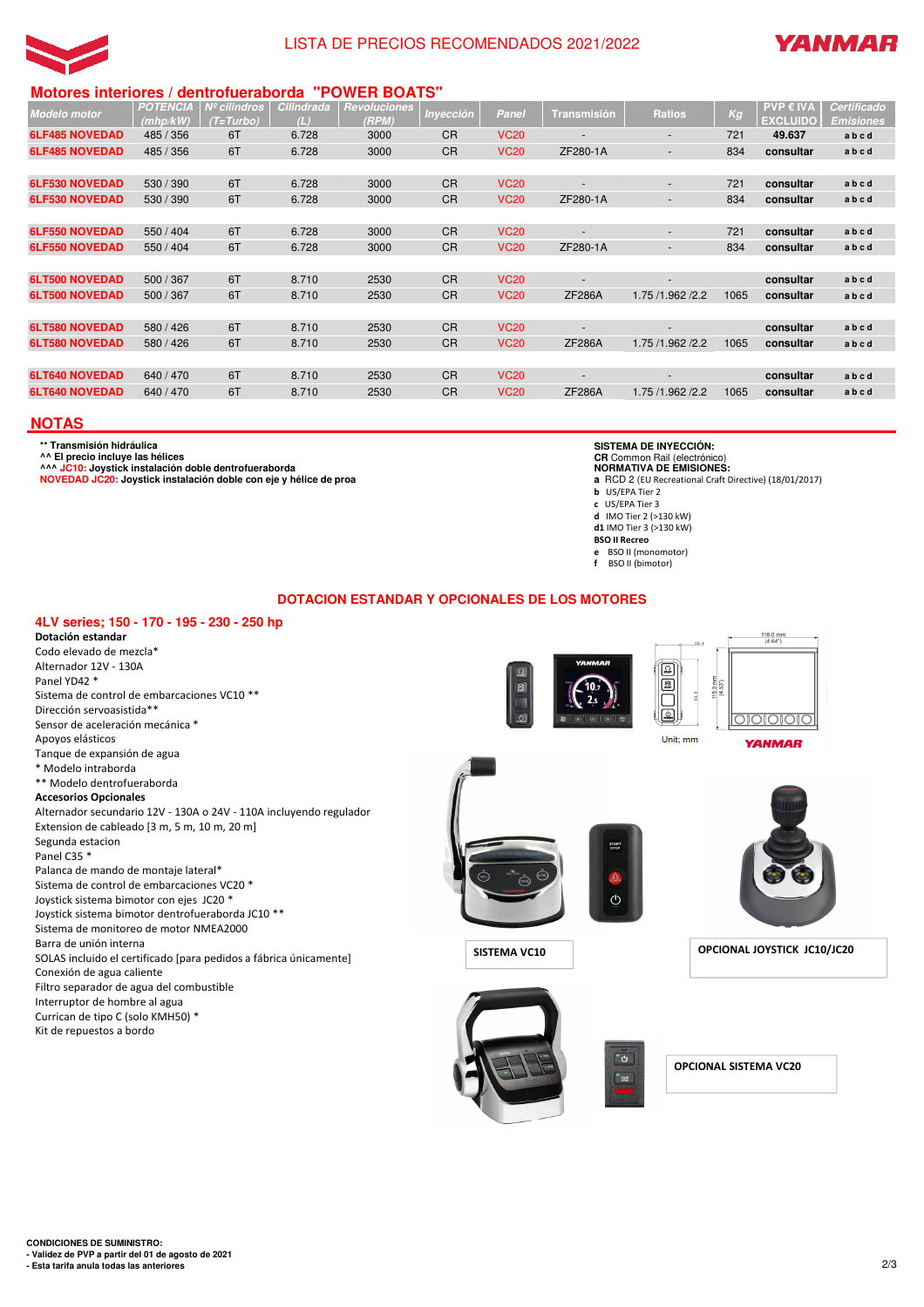



# **Motores interiores / dentrofueraborda "POWER BOATS"**

| <b>Modelo</b> motor   | <b>POTENCIA</b><br>(mhp/kW) | Nº cilindros<br>(T=Turbo) | Cilindrada<br>(L) | <b>Revoluciones</b><br>(RPM) | Inyección | Panel       | <b>Transmisión</b> | <b>Ratios</b>    | Kg   | PVP € IVA<br><b>EXCLUIDO</b> | Certificado<br><b>Emisiones</b> |
|-----------------------|-----------------------------|---------------------------|-------------------|------------------------------|-----------|-------------|--------------------|------------------|------|------------------------------|---------------------------------|
| <b>6LF485 NOVEDAD</b> | 485 / 356                   | 6T                        | 6.728             | 3000                         | <b>CR</b> | <b>VC20</b> |                    | ٠                | 721  | 49.637                       | abcd                            |
| <b>6LF485 NOVEDAD</b> | 485 / 356                   | 6T                        | 6.728             | 3000                         | <b>CR</b> | <b>VC20</b> | ZF280-1A           | ٠                | 834  | consultar                    | abcd                            |
|                       |                             |                           |                   |                              |           |             |                    |                  |      |                              |                                 |
| <b>6LF530 NOVEDAD</b> | 530 / 390                   | 6T                        | 6.728             | 3000                         | <b>CR</b> | <b>VC20</b> |                    | ٠                | 721  | consultar                    | abcd                            |
| <b>6LF530 NOVEDAD</b> | 530 / 390                   | 6T                        | 6.728             | 3000                         | <b>CR</b> | <b>VC20</b> | ZF280-1A           | ٠                | 834  | consultar                    | abcd                            |
|                       |                             |                           |                   |                              |           |             |                    |                  |      |                              |                                 |
| <b>6LF550 NOVEDAD</b> | 550 / 404                   | 6T                        | 6.728             | 3000                         | <b>CR</b> | <b>VC20</b> |                    | ٠                | 721  | consultar                    | abcd                            |
| <b>6LF550 NOVEDAD</b> | 550 / 404                   | 6T                        | 6.728             | 3000                         | <b>CR</b> | <b>VC20</b> | ZF280-1A           | ٠                | 834  | consultar                    | abcd                            |
|                       |                             |                           |                   |                              |           |             |                    |                  |      |                              |                                 |
| <b>6LT500 NOVEDAD</b> | 500 / 367                   | 6T                        | 8.710             | 2530                         | <b>CR</b> | <b>VC20</b> |                    | ٠                |      | consultar                    | abcd                            |
| <b>6LT500 NOVEDAD</b> | 500 / 367                   | 6T                        | 8.710             | 2530                         | <b>CR</b> | <b>VC20</b> | <b>ZF286A</b>      | 1.75 /1.962 /2.2 | 1065 | consultar                    | abcd                            |
|                       |                             |                           |                   |                              |           |             |                    |                  |      |                              |                                 |
| <b>6LT580 NOVEDAD</b> | 580 / 426                   | 6T                        | 8.710             | 2530                         | <b>CR</b> | <b>VC20</b> |                    |                  |      | consultar                    | abcd                            |
| <b>6LT580 NOVEDAD</b> | 580 / 426                   | 6T                        | 8.710             | 2530                         | <b>CR</b> | <b>VC20</b> | <b>ZF286A</b>      | 1.75 /1.962 /2.2 | 1065 | consultar                    | abcd                            |
|                       |                             |                           |                   |                              |           |             |                    |                  |      |                              |                                 |
| <b>6LT640 NOVEDAD</b> | 640 / 470                   | 6T                        | 8.710             | 2530                         | <b>CR</b> | <b>VC20</b> |                    | -                |      | consultar                    | abcd                            |
| <b>6LT640 NOVEDAD</b> | 640 / 470                   | 6T                        | 8.710             | 2530                         | <b>CR</b> | <b>VC20</b> | <b>ZF286A</b>      | 1.75 /1.962 /2.2 | 1065 | consultar                    | abcd                            |
|                       |                             |                           |                   |                              |           |             |                    |                  |      |                              |                                 |

# **NOTAS**

**\*\* Transmisión hidráulica**

**^^ El precio incluye las hélices ^^^ JC10: Joystick instalación doble dentrofueraborda**

**NOVEDAD JC20: Joystick instalación doble con eje y hélice de proa**

#### **SISTEMA DE INYECCIÓN: CR** Common Rail (electrónico)

**NORMATIVA DE EMISIONES:**

**a** RCD 2 (EU Recreational Craft Directive) (18/01/2017)

- **b** US/EPA Tier 2
- **c** US/EPA Tier 3 **d** IMO Tier 2 (>130 kW)
- **d1** IMO Tier 3 (>130 kW)
- **BSO II Recreo**
- **e** BSO II (monomotor) **f** BSO II (bimotor)
- 

**DOTACION ESTANDAR Y OPCIONALES DE LOS MOTORES**

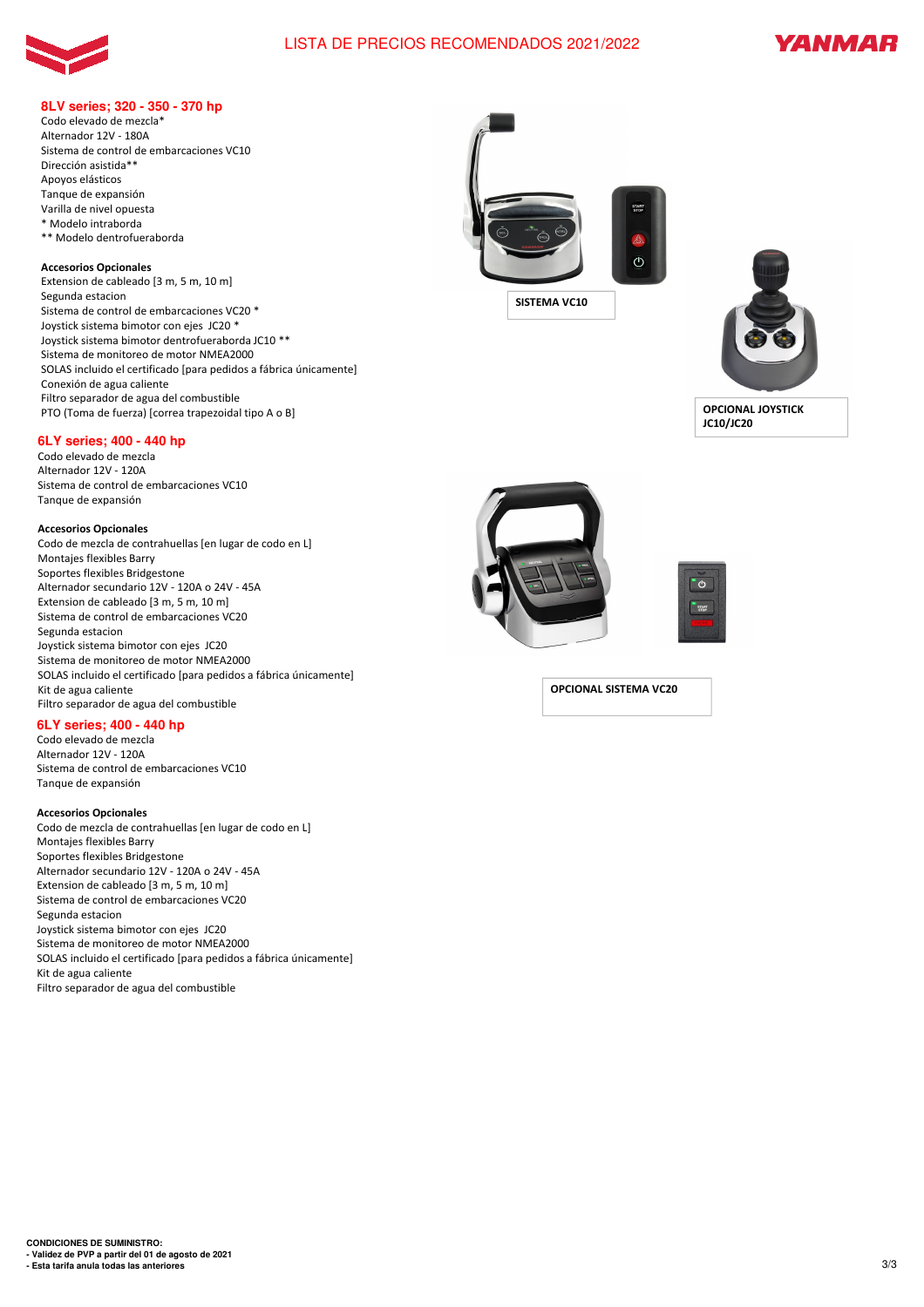



### **8LV series; 320 - 350 - 370 hp**

Codo elevado de mezcla\* Alternador 12V - 180A Sistema de control de embarcaciones VC10 Dirección asistida\*\* Apoyos elásticos Tanque de expansión Varilla de nivel opuesta \* Modelo intraborda \*\* Modelo dentrofueraborda

#### **Accesorios Opcionales**

Extension de cableado [3 m, 5 m, 10 m] Segunda estacion Sistema de control de embarcaciones VC20 \* Joystick sistema bimotor con ejes JC20 \* Joystick sistema bimotor dentrofueraborda JC10 \*\* Sistema de monitoreo de motor NMEA2000 SOLAS incluido el certificado [para pedidos a fábrica únicamente] Conexión de agua caliente Filtro separador de agua del combustible PTO (Toma de fuerza) [correa trapezoidal tipo A o B]

### **6LY series; 400 - 440 hp**

Codo elevado de mezcla Alternador 12V - 120A Sistema de control de embarcaciones VC10 Tanque de expansión

#### **Accesorios Opcionales**

Codo de mezcla de contrahuellas [en lugar de codo en L] Montajes flexibles Barry Soportes flexibles Bridgestone Alternador secundario 12V - 120A o 24V - 45A Extension de cableado [3 m, 5 m, 10 m] Sistema de control de embarcaciones VC20 Segunda estacion Joystick sistema bimotor con ejes JC20 Sistema de monitoreo de motor NMEA2000 SOLAS incluido el certificado [para pedidos a fábrica únicamente] Kit de agua caliente Filtro separador de agua del combustible

### **6LY series; 400 - 440 hp**

Codo elevado de mezcla Alternador 12V - 120A Sistema de control de embarcaciones VC10 Tanque de expansión

#### **Accesorios Opcionales**

Codo de mezcla de contrahuellas [en lugar de codo en L] Montajes flexibles Barry Soportes flexibles Bridgestone Alternador secundario 12V - 120A o 24V - 45A Extension de cableado [3 m, 5 m, 10 m] Sistema de control de embarcaciones VC20 Segunda estacion Joystick sistema bimotor con ejes JC20 Sistema de monitoreo de motor NMEA2000 SOLAS incluido el certificado [para pedidos a fábrica únicamente] Kit de agua caliente Filtro separador de agua del combustible



**SISTEMA VC10**



**OPCIONAL JOYSTICK JC10/JC20**





**OPCIONAL SISTEMA VC20**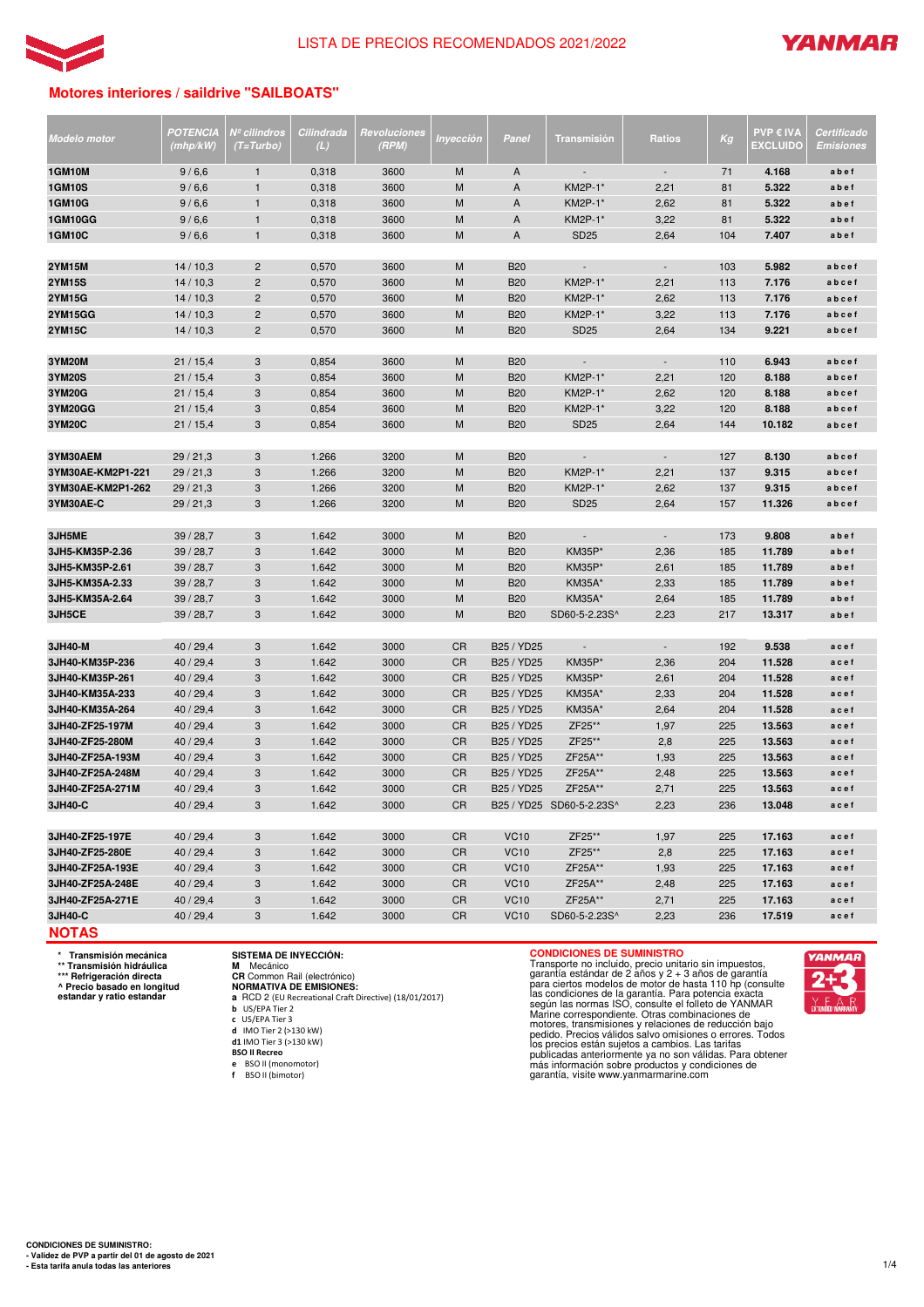



# **Motores interiores / saildrive "SAILBOATS"**

| Modelo motor      | POTENCIA<br>(mhp/kW) | Nº cilindros<br>$(T=Turbo)$ | Cilindrada<br>(L) | Revoluciones<br>(RPM) | Inyección | Panel       | Transmisión              | <b>Ratios</b>            | Kg  | <b>PVP € IVA</b><br><b>EXCLUIDC</b> | Certificado<br>Emisiones |
|-------------------|----------------------|-----------------------------|-------------------|-----------------------|-----------|-------------|--------------------------|--------------------------|-----|-------------------------------------|--------------------------|
|                   |                      |                             |                   |                       |           |             |                          |                          |     |                                     |                          |
| <b>1GM10M</b>     | 9/6,6                | $\mathbf{1}$                | 0,318             | 3600                  | M         | A           |                          | $\blacksquare$           | 71  | 4.168                               | abef                     |
| <b>1GM10S</b>     | 9/6,6                | $\mathbf{1}$                | 0,318             | 3600                  | M         | A           | <b>KM2P-1*</b>           | 2,21                     | 81  | 5.322                               | abef                     |
| <b>1GM10G</b>     | 9/6,6                | $\mathbf{1}$                | 0,318             | 3600                  | M         | A           | <b>KM2P-1*</b>           | 2,62                     | 81  | 5.322                               | abef                     |
| <b>1GM10GG</b>    | 9/6,6                | $\mathbf{1}$                | 0,318             | 3600                  | M         | A           | KM2P-1*                  | 3,22                     | 81  | 5.322                               | abef                     |
| <b>1GM10C</b>     | 9/6,6                | $\mathbf{1}$                | 0,318             | 3600                  | M         | A           | <b>SD25</b>              | 2,64                     | 104 | 7.407                               | abef                     |
| <b>2YM15M</b>     | 14/10,3              | $\overline{2}$              | 0,570             | 3600                  | M         | <b>B20</b>  | $\overline{\phantom{a}}$ | $\overline{\phantom{a}}$ | 103 | 5.982                               | abcef                    |
| <b>2YM15S</b>     | 14/10,3              | $\overline{c}$              | 0,570             | 3600                  | M         | <b>B20</b>  | KM2P-1*                  | 2,21                     | 113 | 7.176                               | abcef                    |
| <b>2YM15G</b>     | 14/10,3              | $\overline{c}$              | 0,570             | 3600                  | M         | <b>B20</b>  | <b>KM2P-1*</b>           | 2,62                     | 113 | 7.176                               | abcef                    |
| <b>2YM15GG</b>    | 14/10,3              | $\overline{c}$              | 0,570             | 3600                  | M         | <b>B20</b>  | <b>KM2P-1*</b>           | 3,22                     | 113 | 7.176                               | abcef                    |
| <b>2YM15C</b>     | 14/10,3              | $\overline{c}$              | 0,570             | 3600                  | M         | <b>B20</b>  | <b>SD25</b>              | 2,64                     | 134 | 9.221                               | abcef                    |
|                   |                      |                             |                   |                       |           |             |                          |                          |     |                                     |                          |
| 3YM20M            | 21/15.4              | 3                           | 0,854             | 3600                  | M         | <b>B20</b>  |                          | $\overline{\phantom{a}}$ | 110 | 6.943                               | abcef                    |
| <b>3YM20S</b>     | 21/15,4              | $\sqrt{3}$                  | 0,854             | 3600                  | M         | <b>B20</b>  | <b>KM2P-1*</b>           | 2,21                     | 120 | 8.188                               | abcef                    |
| 3YM20G            | 21/15,4              | 3                           | 0,854             | 3600                  | M         | <b>B20</b>  | KM2P-1*                  | 2,62                     | 120 | 8.188                               | abcef                    |
| 3YM20GG           | 21/15,4              | 3                           | 0,854             | 3600                  | M         | <b>B20</b>  | KM2P-1*                  | 3,22                     | 120 | 8.188                               | abcef                    |
| 3YM20C            | 21/15,4              | 3                           | 0,854             | 3600                  | M         | <b>B20</b>  | <b>SD25</b>              | 2,64                     | 144 | 10.182                              | abcef                    |
|                   |                      |                             |                   |                       |           |             |                          |                          |     |                                     |                          |
| 3YM30AEM          | 29/21,3              | 3                           | 1.266             | 3200                  | M         | <b>B20</b>  | $\overline{\phantom{a}}$ | $\overline{\phantom{a}}$ | 127 | 8.130                               | abcef                    |
| 3YM30AE-KM2P1-221 | 29/21,3              | 3                           | 1.266             | 3200                  | M         | <b>B20</b>  | <b>KM2P-1*</b>           | 2,21                     | 137 | 9.315                               | abcef                    |
| 3YM30AE-KM2P1-262 | 29/21,3              | 3                           | 1.266             | 3200                  | M         | <b>B20</b>  | KM2P-1*                  | 2,62                     | 137 | 9.315                               | abcef                    |
| 3YM30AE-C         | 29/21,3              | 3                           | 1.266             | 3200                  | M         | <b>B20</b>  | SD <sub>25</sub>         | 2,64                     | 157 | 11.326                              | abcef                    |
|                   |                      |                             |                   |                       |           |             |                          |                          |     |                                     |                          |
| 3JH5ME            | 39/28,7              | 3                           | 1.642             | 3000                  | M         | <b>B20</b>  | $\overline{\phantom{a}}$ | $\overline{\phantom{a}}$ | 173 | 9.808                               | abef                     |
| 3JH5-KM35P-2.36   | 39/28,7              | 3                           | 1.642             | 3000                  | M         | <b>B20</b>  | <b>KM35P*</b>            | 2,36                     | 185 | 11.789                              | abef                     |
| 3JH5-KM35P-2.61   | 39/28,7              | 3                           | 1.642             | 3000                  | M         | <b>B20</b>  | <b>KM35P*</b>            | 2,61                     | 185 | 11.789                              | abef                     |
| 3JH5-KM35A-2.33   | 39/28,7              | 3                           | 1.642             | 3000                  | M         | <b>B20</b>  | <b>KM35A</b> *           | 2,33                     | 185 | 11.789                              | abef                     |
| 3JH5-KM35A-2.64   | 39/28,7              | 3                           | 1.642             | 3000                  | M         | <b>B20</b>  | <b>KM35A*</b>            | 2,64                     | 185 | 11.789                              | abef                     |
| 3JH5CE            | 39/28,7              | 3                           | 1.642             | 3000                  | M         | <b>B20</b>  | SD60-5-2.23S^            | 2,23                     | 217 | 13.317                              | abef                     |
|                   |                      |                             |                   |                       |           |             |                          |                          |     |                                     |                          |
| 3JH40-M           | 40/29,4              | 3                           | 1.642             | 3000                  | <b>CR</b> | B25 / YD25  | $\overline{\phantom{a}}$ | $\sim$                   | 192 | 9.538                               | acef                     |
| 3JH40-KM35P-236   | 40/29,4              | 3                           | 1.642             | 3000                  | <b>CR</b> | B25 / YD25  | <b>KM35P*</b>            | 2,36                     | 204 | 11.528                              | acef                     |
| 3JH40-KM35P-261   | 40/29,4              | 3                           | 1.642             | 3000                  | <b>CR</b> | B25 / YD25  | <b>KM35P*</b>            | 2,61                     | 204 | 11.528                              | acef                     |
| 3JH40-KM35A-233   | 40/29,4              | $\sqrt{3}$                  | 1.642             | 3000                  | <b>CR</b> | B25 / YD25  | <b>KM35A</b> *           | 2,33                     | 204 | 11.528                              | acef                     |
| 3JH40-KM35A-264   | 40/29,4              | 3                           | 1.642             | 3000                  | <b>CR</b> | B25 / YD25  | <b>KM35A</b> *           | 2,64                     | 204 | 11.528                              | acef                     |
| 3JH40-ZF25-197M   | 40/29,4              | 3                           | 1.642             | 3000                  | <b>CR</b> | B25 / YD25  | ZF25**                   | 1,97                     | 225 | 13.563                              | acef                     |
| 3JH40-ZF25-280M   | 40/29,4              | 3                           | 1.642             | 3000                  | <b>CR</b> | B25 / YD25  | ZF25**                   | 2,8                      | 225 | 13.563                              | acef                     |
| 3JH40-ZF25A-193M  | 40/29,4              | 3                           | 1.642             | 3000                  | <b>CR</b> | B25 / YD25  | ZF25A**                  | 1,93                     | 225 | 13.563                              | acef                     |
| 3JH40-ZF25A-248M  | 40/29,4              | 3                           | 1.642             | 3000                  | <b>CR</b> | B25 / YD25  | ZF25A**                  | 2,48                     | 225 | 13.563                              | acef                     |
| 3JH40-ZF25A-271M  | 40/29,4              | 3                           | 1.642             | 3000                  | <b>CR</b> | B25 / YD25  | ZF25A**                  | 2,71                     | 225 | 13.563                              | acef                     |
| 3JH40-C           | 40/29,4              | 3                           | 1.642             | 3000                  | <b>CR</b> |             | B25 / YD25 SD60-5-2.23S^ | 2,23                     | 236 | 13.048                              | acef                     |
|                   |                      |                             |                   |                       |           |             |                          |                          |     |                                     |                          |
| 3JH40-ZF25-197E   | 40/29,4              | 3                           | 1.642             | 3000                  | <b>CR</b> | <b>VC10</b> | ZF25**                   | 1,97                     | 225 | 17.163                              | acef                     |
| 3JH40-ZF25-280E   | 40/29,4              | $\sqrt{3}$                  | 1.642             | 3000                  | CR        | <b>VC10</b> | ZF25**                   | 2,8                      | 225 | 17.163                              | acef                     |
| 3JH40-ZF25A-193E  | 40/29,4              | 3                           | 1.642             | 3000                  | CR        | <b>VC10</b> | ZF25A**                  | 1,93                     | 225 | 17.163                              | acef                     |
| 3JH40-ZF25A-248E  | 40/29,4              | 3                           | 1.642             | 3000                  | CR        | <b>VC10</b> | ZF25A**                  | 2,48                     | 225 | 17.163                              | acef                     |
| 3JH40-ZF25A-271E  | 40/29,4              | 3                           | 1.642             | 3000                  | CR        | <b>VC10</b> | ZF25A**                  | 2,71                     | 225 | 17.163                              | acef                     |
| 3JH40-C           | 40/29,4              | $\sqrt{3}$                  | 1.642             | 3000                  | CR        | <b>VC10</b> | SD60-5-2.23S^            | 2,23                     | 236 | 17.519                              | acef                     |
| <b>NOTAS</b>      |                      |                             |                   |                       |           |             |                          |                          |     |                                     |                          |

**\* Transmisión mecánica \*\* Transmisión hidráulica \*\*\* Refrigeración directa ^ Precio basado en longitud estandar y ratio estandar**

# **SISTEMA DE INYECCIÓN:**

**M** Mecánico<br>**CR Common Rail (electrónico)<br><b>NORMATIVA DE EMISIONES:**<br>**a RCD** 2 (EU Recreational Craft Directive) (18/01/2017)<br>b US/EPA Tier 2

**c** US/EPA Tier 3

**d** IMO Tier 2 (>130 kW) **d1** IMO Tier 3 (>130 kW)

**BSO II Recreo e** BSO II (monomotor) **f** BSO II (bimotor)

**CONDICIONES DE SUMINISTRO**<br>Transporte no incluido, precio unitario sin impuestos,<br>garantía estándar de 2 años y 2 + 3 años de garantía<br>para ciertos modelos de motor de hasta 110 hp (consulte<br>las condiciones de la garantía

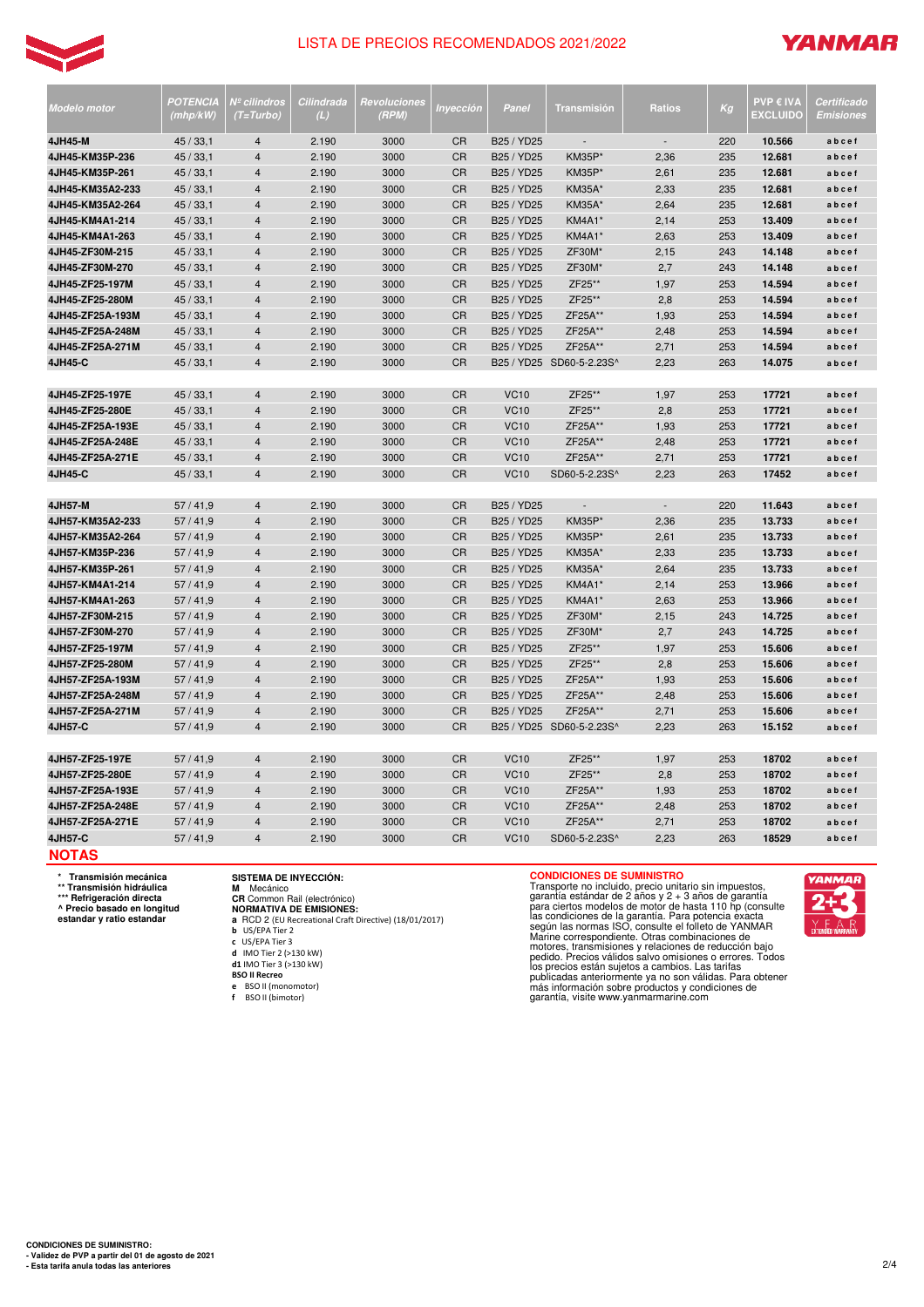

# **YANMAR**

| <b>Modelo motor</b> | POTENCIA<br>(mhp/kW) | Nº cilindros<br>(T=Turbo) | Cilindrada<br>(L) | Revoluciones<br>(RPM) | Inyección       | Panel                                         | <b>Transmisión</b>       | <b>Ratios</b>            | Kg  | <b>PVP € IVA</b><br><b>EXCLUIDO</b> | Certificado<br><b>Emisiones</b> |
|---------------------|----------------------|---------------------------|-------------------|-----------------------|-----------------|-----------------------------------------------|--------------------------|--------------------------|-----|-------------------------------------|---------------------------------|
| 4JH45-M             | 45/33,1              | $\overline{4}$            | 2.190             | 3000                  | <b>CR</b>       | B25 / YD25                                    | $\overline{a}$           | $\overline{\phantom{a}}$ | 220 | 10.566                              | abcef                           |
| 4JH45-KM35P-236     | 45/33,1              | $\overline{4}$            | 2.190             | 3000                  | <b>CR</b>       | B25 / YD25                                    | <b>KM35P*</b>            | 2,36                     | 235 | 12.681                              | abcef                           |
| 4JH45-KM35P-261     | 45/33,1              | $\overline{\mathbf{4}}$   | 2.190             | 3000                  | <b>CR</b>       | B25 / YD25                                    | <b>KM35P</b> *           | 2,61                     | 235 | 12.681                              | abcef                           |
| 4JH45-KM35A2-233    | 45/33,1              | $\overline{4}$            | 2.190             | 3000                  | <b>CR</b>       | B25 / YD25                                    | <b>KM35A</b> *           | 2,33                     | 235 | 12.681                              | abcef                           |
| 4JH45-KM35A2-264    | 45/33,1              | $\overline{\mathbf{4}}$   | 2.190             | 3000                  | <b>CR</b>       | B25 / YD25                                    | <b>KM35A</b> *           | 2,64                     | 235 | 12.681                              | abcef                           |
| 4JH45-KM4A1-214     | 45/33,1              | $\overline{\mathbf{4}}$   | 2.190             | 3000                  | CR              | B25 / YD25                                    | KM4A1                    | 2,14                     | 253 | 13.409                              | abcef                           |
| 4JH45-KM4A1-263     | 45/33,1              | $\overline{\mathbf{4}}$   | 2.190             | 3000                  | CR              | B25 / YD25                                    | KM4A1*                   | 2,63                     | 253 | 13.409                              | abcef                           |
| 4JH45-ZF30M-215     | 45/33,1              | $\overline{4}$            | 2.190             | 3000                  | CR              | B25 / YD25                                    | ZF30M*                   | 2,15                     | 243 | 14.148                              | abcef                           |
| 4JH45-ZF30M-270     | 45/33,1              | 4                         | 2.190             | 3000                  | CR              | B25 / YD25                                    | ZF30M                    | 2,7                      | 243 | 14.148                              | abcef                           |
| 4JH45-ZF25-197M     | 45/33,1              | $\overline{\mathbf{4}}$   | 2.190             | 3000                  | CR              | B <sub>25</sub> / Y <sub>D<sub>25</sub></sub> | ZF25**                   | 1,97                     | 253 | 14.594                              | abcef                           |
| 4JH45-ZF25-280M     | 45/33,1              | $\overline{\mathbf{4}}$   | 2.190             | 3000                  | <b>CR</b>       | B25 / YD25                                    | ZF25**                   | 2,8                      | 253 | 14.594                              | abcef                           |
| 4JH45-ZF25A-193M    | 45/33,1              | $\overline{4}$            | 2.190             | 3000                  | <b>CR</b>       | B25 / YD25                                    | ZF25A**                  | 1,93                     | 253 | 14.594                              | abcef                           |
| 4JH45-ZF25A-248M    | 45/33,1              | $\overline{4}$            | 2.190             | 3000                  | <b>CR</b>       | B25 / YD25                                    | ZF25A**                  | 2,48                     | 253 | 14.594                              | abcef                           |
| 4JH45-ZF25A-271M    | 45/33,1              | $\overline{4}$            | 2.190             | 3000                  | <b>CR</b>       | B25 / YD25                                    | ZF25A**                  | 2,71                     | 253 | 14.594                              | abcef                           |
| 4JH45-C             | 45/33,1              | $\overline{4}$            | 2.190             | 3000                  | <b>CR</b>       |                                               | B25 / YD25 SD60-5-2.23S^ | 2,23                     | 263 | 14.075                              | abcef                           |
| 4JH45-ZF25-197E     | 45/33,1              | $\overline{4}$            | 2.190             | 3000                  | <b>CR</b>       | <b>VC10</b>                                   | ZF25**                   | 1,97                     | 253 | 17721                               | abcef                           |
| 4JH45-ZF25-280E     | 45/33,1              | $\overline{\mathbf{4}}$   | 2.190             | 3000                  | CR              | <b>VC10</b>                                   | ZF25**                   | 2,8                      | 253 | 17721                               | abcef                           |
| 4JH45-ZF25A-193E    | 45/33,1              | $\overline{\mathbf{4}}$   | 2.190             | 3000                  | <b>CR</b>       | <b>VC10</b>                                   | ZF25A**                  | 1,93                     | 253 | 17721                               | abcef                           |
| 4JH45-ZF25A-248E    | 45/33,1              | $\overline{\mathbf{4}}$   | 2.190             | 3000                  | CR              | <b>VC10</b>                                   | ZF25A**                  | 2,48                     | 253 | 17721                               | abcef                           |
| 4JH45-ZF25A-271E    | 45/33,1              | $\overline{\mathbf{4}}$   | 2.190             | 3000                  | CR              | <b>VC10</b>                                   | ZF25A**                  | 2,71                     | 253 | 17721                               | abcef                           |
| 4JH45-C             | 45/33,1              | $\overline{4}$            | 2.190             | 3000                  | <b>CR</b>       | <b>VC10</b>                                   | SD60-5-2.23S^            | 2,23                     | 263 | 17452                               | abcef                           |
|                     |                      |                           |                   |                       |                 |                                               |                          |                          |     |                                     |                                 |
| 4JH57-M             | 57/41,9              | $\overline{4}$            | 2.190             | 3000                  | CR              | B25 / YD25                                    | $\overline{\phantom{a}}$ | $\overline{\phantom{a}}$ | 220 | 11.643                              | abcef                           |
| 4JH57-KM35A2-233    | 57/41,9              | $\overline{4}$            | 2.190             | 3000                  | CR              | B25 / YD25                                    | <b>KM35P*</b>            | 2,36                     | 235 | 13.733                              | abcef                           |
| 4JH57-KM35A2-264    | 57/41.9              | $\overline{4}$            | 2.190             | 3000                  | <b>CR</b>       | B <sub>25</sub> / Y <sub>D25</sub>            | <b>KM35P*</b>            | 2,61                     | 235 | 13.733                              | abcef                           |
| 4JH57-KM35P-236     | 57/41,9              | $\overline{4}$            | 2.190             | 3000                  | <b>CR</b>       | B25 / YD25                                    | <b>KM35A</b> *           | 2,33                     | 235 | 13.733                              | abcef                           |
| 4JH57-KM35P-261     | 57/41,9              | $\overline{\mathbf{4}}$   | 2.190             | 3000                  | <b>CR</b>       | B25 / YD25                                    | <b>KM35A</b> *           | 2,64                     | 235 | 13.733                              | abcef                           |
| 4JH57-KM4A1-214     | 57/41,9              | $\overline{4}$            | 2.190             | 3000                  | <b>CR</b>       | B25 / YD25                                    | KM4A1                    | 2,14                     | 253 | 13.966                              | abcef                           |
| 4JH57-KM4A1-263     | 57/41,9              | $\overline{4}$            | 2.190             | 3000                  | <b>CR</b>       | B25 / YD25                                    | <b>KM4A1</b> *           | 2,63                     | 253 | 13.966                              | abcef                           |
| 4JH57-ZF30M-215     | 57/41,9              | $\overline{4}$            | 2.190             | 3000                  | CR              | B25 / YD25                                    | ZF30M*                   | 2,15                     | 243 | 14.725                              | abcef                           |
| 4JH57-ZF30M-270     | 57/41,9              | $\overline{\mathbf{4}}$   | 2.190             | 3000                  | CR              | B25 / YD25                                    | ZF30M*                   | 2,7                      | 243 | 14.725                              | abcef                           |
| 4JH57-ZF25-197M     | 57/41,9              | $\overline{4}$            | 2.190             | 3000                  | <b>CR</b>       | B25 / YD25                                    | ZF25**                   | 1,97                     | 253 | 15.606                              | abcef                           |
| 4JH57-ZF25-280M     | 57/41,9              | 4                         | 2.190             | 3000                  | CR              | B25 / YD25                                    | ZF25**                   | 2,8                      | 253 | 15.606                              | abcef                           |
| 4JH57-ZF25A-193M    | 57/41,9              | $\overline{\mathbf{4}}$   | 2.190             | 3000                  | <b>CR</b>       | B25 / YD25                                    | ZF25A**                  | 1,93                     | 253 | 15.606                              | abcef                           |
| 4JH57-ZF25A-248M    | 57/41,9              | $\overline{4}$            | 2.190             | 3000                  | <b>CR</b>       | B25 / YD25                                    | ZF25A**                  | 2,48                     | 253 | 15.606                              | abcef                           |
| 4JH57-ZF25A-271M    | 57/41,9              | $\overline{\mathbf{4}}$   | 2.190             | 3000                  | <b>CR</b><br>CR | B25 / YD25                                    | ZF25A**                  | 2,71                     | 253 | 15.606                              | abcef                           |
| 4JH57-C             | 57/41,9              | $\overline{\mathbf{4}}$   | 2.190             | 3000                  |                 |                                               | B25 / YD25 SD60-5-2.23S^ | 2,23                     | 263 | 15.152                              | abcef                           |
| 4JH57-ZF25-197E     | 57/41,9              | 4                         | 2.190             | 3000                  | <b>CR</b>       | <b>VC10</b>                                   | ZF25**                   | 1,97                     | 253 | 18702                               | abcef                           |
| 4JH57-ZF25-280E     | 57/41,9              | $\overline{4}$            | 2.190             | 3000                  | CR              | <b>VC10</b>                                   | ZF25**                   | 2,8                      | 253 | 18702                               | abcef                           |
| 4JH57-ZF25A-193E    | 57/41,9              | $\overline{\mathbf{4}}$   | 2.190             | 3000                  | CR              | <b>VC10</b>                                   | ZF25A**                  | 1,93                     | 253 | 18702                               | abcef                           |
| 4JH57-ZF25A-248E    | 57/41,9              | $\overline{4}$            | 2.190             | 3000                  | <b>CR</b>       | <b>VC10</b>                                   | ZF25A**                  | 2,48                     | 253 | 18702                               | abcef                           |
| 4JH57-ZF25A-271E    | 57/41,9              | 4                         | 2.190             | 3000                  | <b>CR</b>       | <b>VC10</b>                                   | ZF25A**                  | 2,71                     | 253 | 18702                               | abcef                           |
| 4JH57-C             | 57/41,9              | $\overline{4}$            | 2.190             | 3000                  | CR              | <b>VC10</b>                                   | SD60-5-2.23S^            | 2,23                     | 263 | 18529                               | abcef                           |
| <b>NOTAS</b>        |                      |                           |                   |                       |                 |                                               |                          |                          |     |                                     |                                 |

**\* Transmisión mecánica**

**\*\* Transmisión hidráulica \*\*\* Refrigeración directa**

**^ Precio basado en longitud estandar y ratio estandar**

# **SISTEMA DE INYECCIÓN:**

**M** Mecánico<br>**CR** Common Rail (electrónico)<br>**NORMATIVA DE EMISIONES:<br><b>a** RCD 2 (EU Recreational Craft Directive) (18/01/2017)<br>b US/EPA Tier 2

- **c** US/EPA Tier 3
- **d** IMO Tier 2 (>130 kW) **d1** IMO Tier 3 (>130 kW)

**BSO II Recreo**

- 
- **e** BSO II (monomotor) **f** BSO II (bimotor)

**CONDICIONES DE SUMINISTRO**<br>Transporte no incluido, precio unitario sin impuestos,<br>garantía estándar de 2 años y 2 + 3 años de garantía<br>para ciertos modelos de motor de hasta 110 hp (consulte<br>las condiciones de la garantía

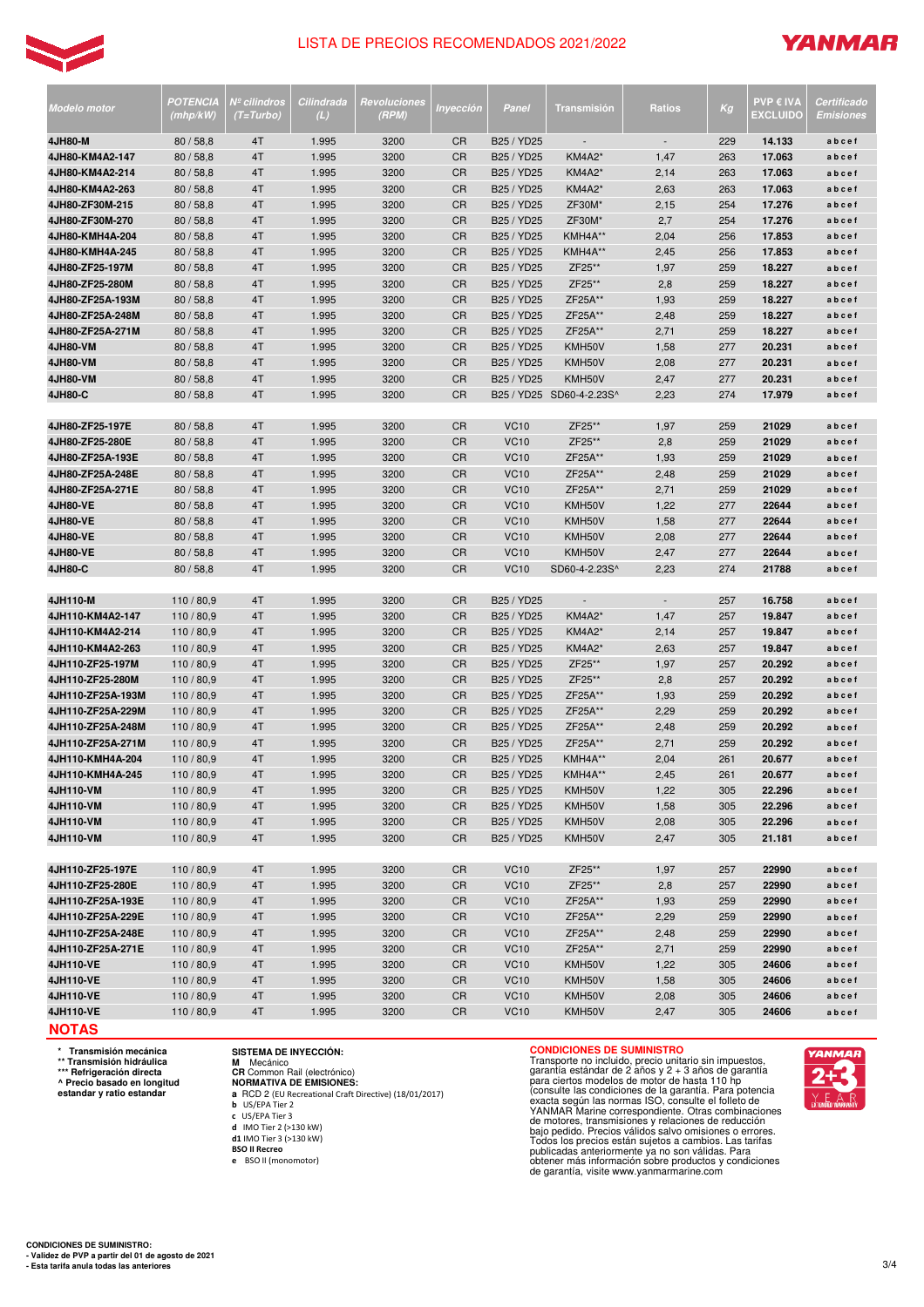

# **YANMAR**

|                                      | POTENCIA           | Nº cilindros | Cilindrada     | Revoluciones |                        |                            |                          |               |            | <b>PVP € IVA</b> | Certificado    |
|--------------------------------------|--------------------|--------------|----------------|--------------|------------------------|----------------------------|--------------------------|---------------|------------|------------------|----------------|
| Modelo motor                         | (mhp/kW)           | $(T=Turbo)$  | (L)            | (RPM)        | Inyección              | Panel                      | <b>Transmisión</b>       | <b>Ratios</b> | Kg         | <b>EXCLUIDO</b>  | Emisiones      |
| 4JH80-M                              | 80/58,8            | 4T           | 1.995          | 3200         | CR                     | B25 / YD25                 | $\overline{\phantom{a}}$ |               | 229        | 14.133           | abcef          |
| 4JH80-KM4A2-147                      | 80/58,8            | 4T           | 1.995          | 3200         | <b>CR</b>              | B25 / YD25                 | KM4A2*                   | 1,47          | 263        | 17.063           | abcef          |
| 4JH80-KM4A2-214                      | 80/58,8            | 4T           | 1.995          | 3200         | <b>CR</b>              | B25 / YD25                 | <b>KM4A2*</b>            | 2,14          | 263        | 17.063           | abcef          |
| 4JH80-KM4A2-263                      | 80/58,8            | 4T           | 1.995          | 3200         | <b>CR</b>              | B25 / YD25                 | <b>KM4A2*</b>            | 2,63          | 263        | 17.063           | abcef          |
| 4JH80-ZF30M-215                      | 80/58,8            | 4T           | 1.995          | 3200         | <b>CR</b>              | B25 / YD25                 | ZF30M*                   | 2,15          | 254        | 17.276           | abcef          |
| 4JH80-ZF30M-270                      | 80/58,8            | 4T           | 1.995          | 3200         | <b>CR</b>              | B25 / YD25                 | ZF30M*                   | 2,7           | 254        | 17.276           | abcef          |
| 4JH80-KMH4A-204                      | 80/58,8            | 4T           | 1.995          | 3200         | <b>CR</b>              | B25 / YD25                 | KMH4A**                  | 2,04          | 256        | 17.853           | abcef          |
| 4JH80-KMH4A-245                      | 80/58,8            | 4T           | 1.995          | 3200         | <b>CR</b>              | B25 / YD25                 | KMH4A**                  | 2,45          | 256        | 17.853           | abcef          |
| 4JH80-ZF25-197M                      | 80/58,8            | 4T           | 1.995          | 3200         | <b>CR</b>              | B25 / YD25                 | ZF25**                   | 1,97          | 259        | 18.227           | abcef          |
| 4JH80-ZF25-280M                      | 80/58,8            | 4T           | 1.995          | 3200         | <b>CR</b>              | B25 / YD25                 | ZF25**                   | 2,8           | 259        | 18.227           | abcef          |
| 4JH80-ZF25A-193M                     | 80/58,8            | 4T           | 1.995          | 3200         | <b>CR</b>              | B25 / YD25                 | ZF25A**                  | 1,93          | 259        | 18.227           | abcef          |
| 4JH80-ZF25A-248M                     | 80/58,8            | 4T           | 1.995          | 3200         | <b>CR</b>              | B25 / YD25                 | ZF25A**                  | 2,48          | 259        | 18.227           | abcef          |
| 4JH80-ZF25A-271M                     | 80/58,8            | 4T           | 1.995          | 3200         | <b>CR</b>              | B25 / YD25                 | ZF25A**                  | 2,71          | 259        | 18.227           | abcef          |
| <b>4JH80-VM</b>                      | 80/58,8            | 4T           | 1.995          | 3200         | <b>CR</b>              | B25 / YD25                 | KMH50V                   | 1,58          | 277        | 20.231           | abcef          |
| <b>4JH80-VM</b>                      | 80/58,8            | 4T           | 1.995          | 3200         | <b>CR</b>              | B25 / YD25                 | KMH50V                   | 2,08          | 277        | 20.231           | abcef          |
| 4JH80-VM                             | 80/58,8            | 4T           | 1.995          | 3200         | <b>CR</b>              | B25 / YD25                 | KMH50V                   | 2,47          | 277        | 20.231           | abcef          |
| 4JH80-C                              | 80/58,8            | 4T           | 1.995          | 3200         | <b>CR</b>              |                            | B25 / YD25 SD60-4-2.23S^ | 2,23          | 274        | 17.979           | abcef          |
|                                      |                    |              |                |              |                        |                            |                          |               |            |                  |                |
| 4JH80-ZF25-197E                      | 80/58,8            | 4T           | 1.995          | 3200         | <b>CR</b><br><b>CR</b> | <b>VC10</b><br><b>VC10</b> | ZF25**<br>ZF25**         | 1,97          | 259        | 21029            | abcef          |
| 4JH80-ZF25-280E                      | 80/58,8            | 4T           | 1.995          | 3200         |                        |                            | ZF25A**                  | 2,8           | 259        | 21029            | abcef          |
| 4JH80-ZF25A-193E                     | 80/58,8            | 4T           | 1.995          | 3200         | <b>CR</b><br><b>CR</b> | <b>VC10</b>                | ZF25A**                  | 1,93          | 259        | 21029            | abcef<br>abcef |
| 4JH80-ZF25A-248E<br>4JH80-ZF25A-271E | 80/58,8            | 4T<br>4T     | 1.995          | 3200         | <b>CR</b>              | <b>VC10</b>                | ZF25A**                  | 2,48          | 259<br>259 | 21029<br>21029   |                |
| <b>4JH80-VE</b>                      | 80/58,8            | 4T           | 1.995<br>1.995 | 3200<br>3200 | <b>CR</b>              | <b>VC10</b><br><b>VC10</b> | KMH50V                   | 2,71          | 277        | 22644            | abcef<br>abcef |
| <b>4JH80-VE</b>                      | 80/58,8<br>80/58,8 | 4T           | 1.995          | 3200         | <b>CR</b>              | <b>VC10</b>                | KMH50V                   | 1,22<br>1,58  | 277        | 22644            | abcef          |
| <b>4JH80-VE</b>                      | 80/58,8            | 4T           | 1.995          | 3200         | <b>CR</b>              | <b>VC10</b>                | KMH50V                   | 2,08          | 277        | 22644            | abcef          |
| 4JH80-VE                             | 80/58,8            | 4T           | 1.995          | 3200         | <b>CR</b>              | <b>VC10</b>                | KMH50V                   | 2,47          | 277        | 22644            | abcef          |
| 4JH80-C                              | 80/58,8            | 4T           | 1.995          | 3200         | <b>CR</b>              | <b>VC10</b>                | SD60-4-2.23S^            | 2,23          | 274        | 21788            | abcef          |
|                                      |                    |              |                |              |                        |                            |                          |               |            |                  |                |
| 4JH110-M                             | 110/80,9           | 4T           | 1.995          | 3200         | <b>CR</b>              | B25 / YD25                 |                          |               | 257        | 16.758           | abcef          |
| 4JH110-KM4A2-147                     | 110/80,9           | 4T           | 1.995          | 3200         | <b>CR</b>              | B25 / YD25                 | <b>KM4A2*</b>            | 1,47          | 257        | 19.847           | abcef          |
| 4JH110-KM4A2-214                     | 110/80,9           | 4T           | 1.995          | 3200         | <b>CR</b>              | B25 / YD25                 | <b>KM4A2*</b>            | 2,14          | 257        | 19.847           | abcef          |
| 4JH110-KM4A2-263                     | 110/80,9           | 4T           | 1.995          | 3200         | <b>CR</b>              | B25 / YD25                 | <b>KM4A2*</b>            | 2,63          | 257        | 19.847           | abcef          |
| 4JH110-ZF25-197M                     | 110/80,9           | 4T           | 1.995          | 3200         | <b>CR</b>              | B25 / YD25                 | ZF25**                   | 1,97          | 257        | 20.292           | abcef          |
| 4JH110-ZF25-280M                     | 110/80,9           | 4T           | 1.995          | 3200         | <b>CR</b>              | B25 / YD25                 | ZF25**                   | 2,8           | 257        | 20.292           | abcef          |
| 4JH110-ZF25A-193M                    | 110/80,9           | 4T           | 1.995          | 3200         | <b>CR</b>              | B25 / YD25                 | ZF25A**                  | 1,93          | 259        | 20.292           | abcef          |
| 4JH110-ZF25A-229M                    | 110/80,9           | 4T           | 1.995          | 3200         | <b>CR</b>              | B25 / YD25                 | ZF25A**                  | 2,29          | 259        | 20.292           | abcef          |
| 4JH110-ZF25A-248M                    | 110/80,9           | 4T           | 1.995          | 3200         | <b>CR</b>              | B25 / YD25                 | ZF25A**                  | 2,48          | 259        | 20.292           | abcef          |
| 4JH110-ZF25A-271M                    | 110/80,9           | 4T           | 1.995          | 3200         | <b>CR</b>              | B25 / YD25                 | ZF25A**                  | 2,71          | 259        | 20.292           | abcef          |
| 4JH110-KMH4A-204                     | 110/80,9           | 4T           | 1.995          | 3200         | <b>CR</b>              | B25 / YD25                 | KMH4A**                  | 2,04          | 261        | 20.677           | abcef          |
| 4JH110-KMH4A-245                     | 110/80.9           | 4T           | 1.995          | 3200         | <b>CR</b>              | B25 / YD25                 | KMH4A**                  | 2,45          | 261        | 20.677           | abcef          |
| 4JH110-VM                            | 110/80,9           | 4T           | 1.995          | 3200         | <b>CR</b>              | B25 / YD25                 | KMH50V                   | 1,22          | 305        | 22.296           | abcef          |
| 4JH110-VM                            | 110/80,9           | 4T           | 1.995          | 3200         | CR                     | B25 / YD25                 | KMH50V                   | 1,58          | 305        | 22.296           | abcef          |
| 4JH110-VM                            | 110/80,9           | 4T           | 1.995          | 3200         | <b>CR</b>              | B25 / YD25                 | KMH50V                   | 2,08          | 305        | 22.296           | abcef          |
| 4JH110-VM                            | 110/80,9           | 4T           | 1.995          | 3200         | <b>CR</b>              | B25 / YD25                 | KMH50V                   | 2,47          | 305        | 21.181           | abcef          |
| 4JH110-ZF25-197E                     | 110/80,9           | 4T           | 1.995          | 3200         | <b>CR</b>              | <b>VC10</b>                | ZF25**                   | 1,97          | 257        | 22990            | abcef          |
| 4JH110-ZF25-280E                     | 110/80,9           | 4T           | 1.995          | 3200         | <b>CR</b>              | <b>VC10</b>                | ZF25**                   |               | 257        | 22990            | abcef          |
| 4JH110-ZF25A-193E                    | 110/80,9           | 4T           | 1.995          | 3200         | <b>CR</b>              | <b>VC10</b>                | ZF25A**                  | 2,8<br>1,93   | 259        | 22990            | abcef          |
| 4JH110-ZF25A-229E                    | 110/80,9           | 4T           | 1.995          | 3200         | <b>CR</b>              | <b>VC10</b>                | ZF25A**                  | 2,29          | 259        | 22990            | abcef          |
| 4JH110-ZF25A-248E                    | 110/80,9           | 4T           | 1.995          | 3200         | <b>CR</b>              | <b>VC10</b>                | ZF25A**                  | 2,48          | 259        | 22990            | abcef          |
| 4JH110-ZF25A-271E                    | 110/80,9           | 4T           | 1.995          | 3200         | <b>CR</b>              | <b>VC10</b>                | ZF25A**                  | 2,71          | 259        | 22990            | abcef          |
| 4JH110-VE                            | 110/80,9           | 4T           | 1.995          | 3200         | CR                     | <b>VC10</b>                | KMH50V                   | 1,22          | 305        | 24606            | abcef          |
| 4JH110-VE                            | 110/80,9           | 4T           | 1.995          | 3200         | <b>CR</b>              | <b>VC10</b>                | KMH50V                   | 1,58          | 305        | 24606            | abcef          |
| 4JH110-VE                            | 110/80,9           | 4T           | 1.995          | 3200         | <b>CR</b>              | <b>VC10</b>                | KMH50V                   | 2,08          | 305        | 24606            | abcef          |
| 4JH110-VE                            | 110/80,9           | 4T           | 1.995          | 3200         | <b>CR</b>              | <b>VC10</b>                | KMH50V                   | 2,47          | 305        | 24606            | abcef          |
|                                      |                    |              |                |              |                        |                            |                          |               |            |                  |                |

**NOTAS** 

**\* Transmisión mecánica \*\* Transmisión hidráulica \*\*\* Refrigeración directa**

**^ Precio basado en longitud estandar y ratio estandar**

**NORMATIVA DE EMISIONES: a** RCD 2 (EU Recreational Craft Directive) (18/01/2017)

**b** US/EPA Tier 2 **c** US/EPA Tier 3

**d** IMO Tier 2 (>130 kW) **d1** IMO Tier 3 (>130 kW)

**SISTEMA DE INYECCIÓN: M** Mecánico **CR** Common Rail (electrónico)

**BSO II Recreo e** BSO II (monomotor)

**CONDICIONES DE SUMINISTRO**<br>Transporte no incluido, precio unitario sin impuestos,<br>garantía estándar de 2 años y 2 + 3 años de garantía<br>para ciertos modelos de motor de hasta 110 hp<br>(consulte las condiciones de la garantía